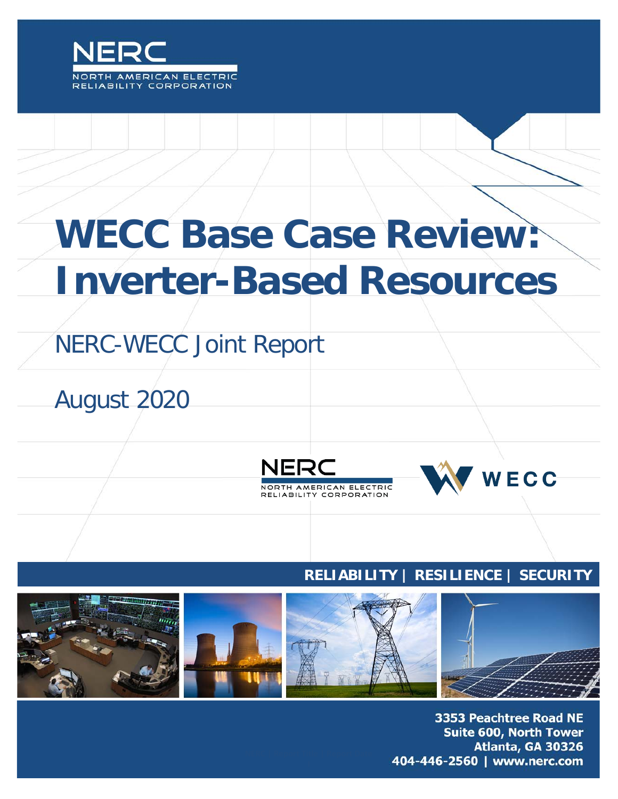

# **WECC Base Case Review: Inverter-Based Resources**

# NERC-WECC Joint Report

August 2020



## **RELIABILITY | RESILIENCE | SECURITY**



3353 Peachtree Road NE **Suite 600, North Tower** Atlanta, GA 30326 404-446-2560 | www.nerc.com

WECC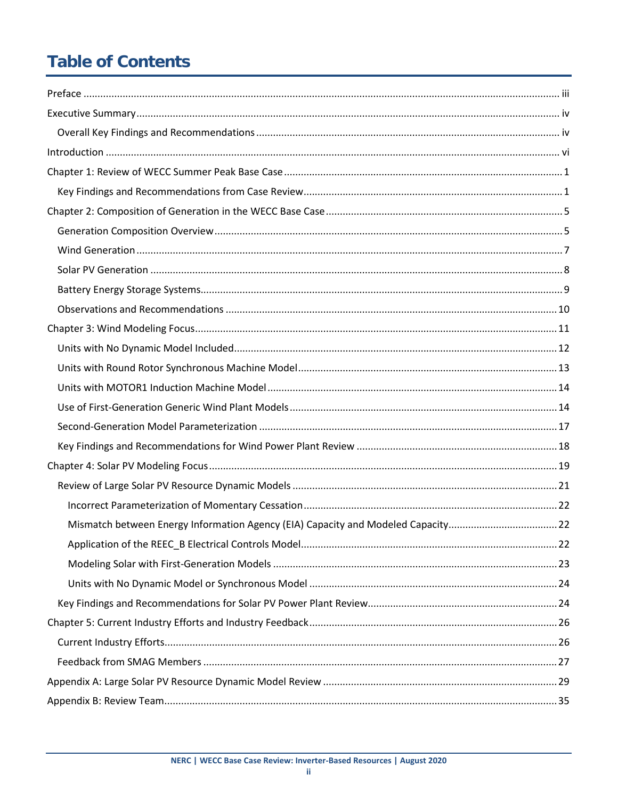# **Table of Contents**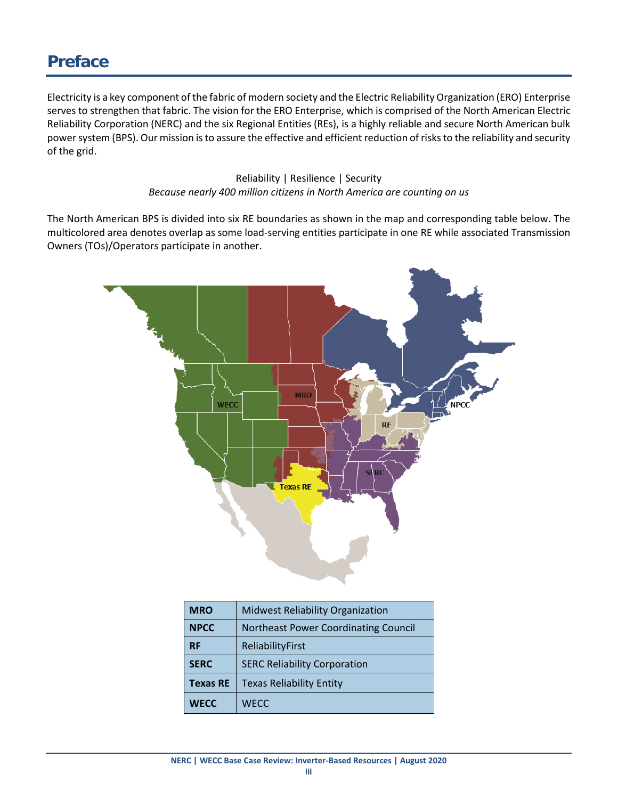# <span id="page-2-0"></span>**Preface**

Electricity is a key component of the fabric of modern society and the Electric Reliability Organization (ERO) Enterprise serves to strengthen that fabric. The vision for the ERO Enterprise, which is comprised of the North American Electric Reliability Corporation (NERC) and the six Regional Entities (REs), is a highly reliable and secure North American bulk power system (BPS). Our mission is to assure the effective and efficient reduction of risks to the reliability and security of the grid.

> Reliability | Resilience | Security *Because nearly 400 million citizens in North America are counting on us*

The North American BPS is divided into six RE boundaries as shown in the map and corresponding table below. The multicolored area denotes overlap as some load-serving entities participate in one RE while associated Transmission Owners (TOs)/Operators participate in another.



| <b>MRO</b>      | <b>Midwest Reliability Organization</b>     |
|-----------------|---------------------------------------------|
| <b>NPCC</b>     | <b>Northeast Power Coordinating Council</b> |
| <b>RF</b>       | ReliabilityFirst                            |
| <b>SERC</b>     | <b>SERC Reliability Corporation</b>         |
| <b>Texas RE</b> | <b>Texas Reliability Entity</b>             |
| <b>WECC</b>     | <b>WECC</b>                                 |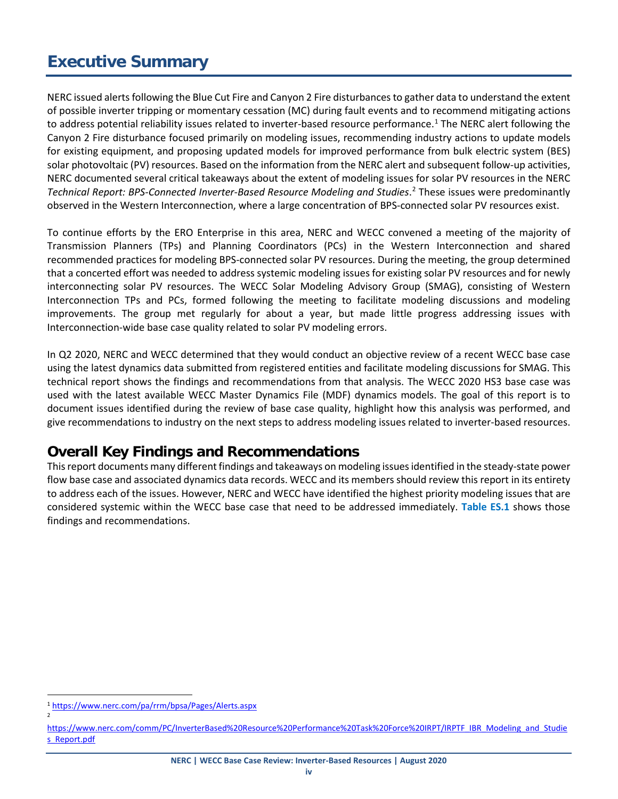# <span id="page-3-0"></span>**Executive Summary**

NERC issued alerts following the Blue Cut Fire and Canyon 2 Fire disturbances to gather data to understand the extent of possible inverter tripping or momentary cessation (MC) during fault events and to recommend mitigating actions to address potential reliability issues related to inverter-based resource performance.<sup>[1](#page-3-2)</sup> The NERC alert following the Canyon 2 Fire disturbance focused primarily on modeling issues, recommending industry actions to update models for existing equipment, and proposing updated models for improved performance from bulk electric system (BES) solar photovoltaic (PV) resources. Based on the information from the NERC alert and subsequent follow-up activities, NERC documented several critical takeaways about the extent of modeling issues for solar PV resources in the NERC *Technical Report: BPS-Connected Inverter-Based Resource Modeling and Studies*. [2](#page-3-3) These issues were predominantly observed in the Western Interconnection, where a large concentration of BPS-connected solar PV resources exist.

To continue efforts by the ERO Enterprise in this area, NERC and WECC convened a meeting of the majority of Transmission Planners (TPs) and Planning Coordinators (PCs) in the Western Interconnection and shared recommended practices for modeling BPS-connected solar PV resources. During the meeting, the group determined that a concerted effort was needed to address systemic modeling issues for existing solar PV resources and for newly interconnecting solar PV resources. The WECC Solar Modeling Advisory Group (SMAG), consisting of Western Interconnection TPs and PCs, formed following the meeting to facilitate modeling discussions and modeling improvements. The group met regularly for about a year, but made little progress addressing issues with Interconnection-wide base case quality related to solar PV modeling errors.

In Q2 2020, NERC and WECC determined that they would conduct an objective review of a recent WECC base case using the latest dynamics data submitted from registered entities and facilitate modeling discussions for SMAG. This technical report shows the findings and recommendations from that analysis. The WECC 2020 HS3 base case was used with the latest available WECC Master Dynamics File (MDF) dynamics models. The goal of this report is to document issues identified during the review of base case quality, highlight how this analysis was performed, and give recommendations to industry on the next steps to address modeling issues related to inverter-based resources.

#### <span id="page-3-1"></span>**Overall Key Findings and Recommendations**

This report documents many different findings and takeaways on modeling issues identified in the steady-state power flow base case and associated dynamics data records. WECC and its members should review this report in its entirety to address each of the issues. However, NERC and WECC have identified the highest priority modeling issues that are considered systemic within the WECC base case that need to be addressed immediately. **Table ES.1** shows those findings and recommendations.

2

<span id="page-3-2"></span> <sup>1</sup> <https://www.nerc.com/pa/rrm/bpsa/Pages/Alerts.aspx>

<span id="page-3-3"></span>[https://www.nerc.com/comm/PC/InverterBased%20Resource%20Performance%20Task%20Force%20IRPT/IRPTF\\_IBR\\_Modeling\\_and\\_Studie](https://www.nerc.com/comm/PC/InverterBased%20Resource%20Performance%20Task%20Force%20IRPT/IRPTF_IBR_Modeling_and_Studies_Report.pdf) [s\\_Report.pdf](https://www.nerc.com/comm/PC/InverterBased%20Resource%20Performance%20Task%20Force%20IRPT/IRPTF_IBR_Modeling_and_Studies_Report.pdf)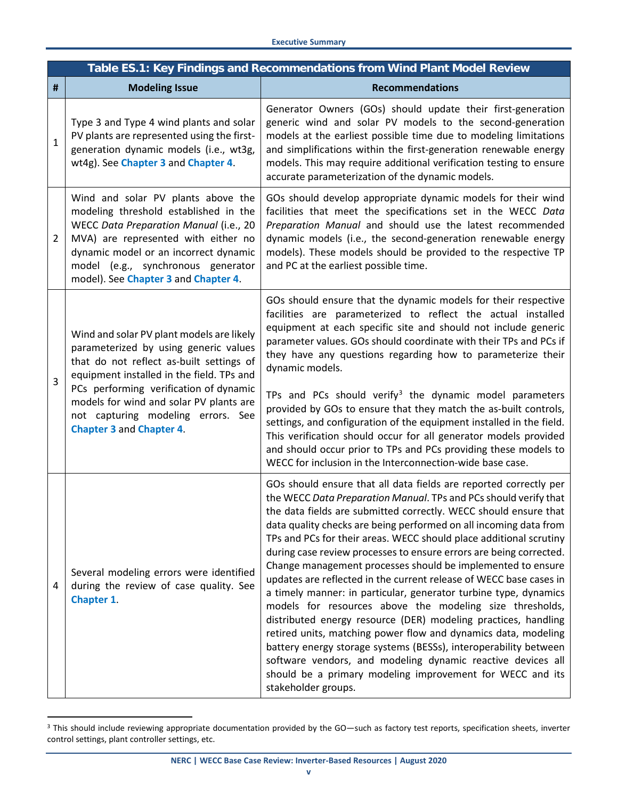|   | Table ES.1: Key Findings and Recommendations from Wind Plant Model Review                                                                                                                                                                                                                                                                 |                                                                                                                                                                                                                                                                                                                                                                                                                                                                                                                                                                                                                                                                                                                                                                                                                                                                                                                                                                                                                                                                                                                         |  |  |  |
|---|-------------------------------------------------------------------------------------------------------------------------------------------------------------------------------------------------------------------------------------------------------------------------------------------------------------------------------------------|-------------------------------------------------------------------------------------------------------------------------------------------------------------------------------------------------------------------------------------------------------------------------------------------------------------------------------------------------------------------------------------------------------------------------------------------------------------------------------------------------------------------------------------------------------------------------------------------------------------------------------------------------------------------------------------------------------------------------------------------------------------------------------------------------------------------------------------------------------------------------------------------------------------------------------------------------------------------------------------------------------------------------------------------------------------------------------------------------------------------------|--|--|--|
| # | <b>Modeling Issue</b>                                                                                                                                                                                                                                                                                                                     | <b>Recommendations</b>                                                                                                                                                                                                                                                                                                                                                                                                                                                                                                                                                                                                                                                                                                                                                                                                                                                                                                                                                                                                                                                                                                  |  |  |  |
| 1 | Type 3 and Type 4 wind plants and solar<br>PV plants are represented using the first-<br>generation dynamic models (i.e., wt3g,<br>wt4g). See Chapter 3 and Chapter 4.                                                                                                                                                                    | Generator Owners (GOs) should update their first-generation<br>generic wind and solar PV models to the second-generation<br>models at the earliest possible time due to modeling limitations<br>and simplifications within the first-generation renewable energy<br>models. This may require additional verification testing to ensure<br>accurate parameterization of the dynamic models.                                                                                                                                                                                                                                                                                                                                                                                                                                                                                                                                                                                                                                                                                                                              |  |  |  |
| 2 | Wind and solar PV plants above the<br>modeling threshold established in the<br>WECC Data Preparation Manual (i.e., 20<br>MVA) are represented with either no<br>dynamic model or an incorrect dynamic<br>model (e.g., synchronous generator<br>model). See Chapter 3 and Chapter 4.                                                       | GOs should develop appropriate dynamic models for their wind<br>facilities that meet the specifications set in the WECC Data<br>Preparation Manual and should use the latest recommended<br>dynamic models (i.e., the second-generation renewable energy<br>models). These models should be provided to the respective TP<br>and PC at the earliest possible time.                                                                                                                                                                                                                                                                                                                                                                                                                                                                                                                                                                                                                                                                                                                                                      |  |  |  |
| 3 | Wind and solar PV plant models are likely<br>parameterized by using generic values<br>that do not reflect as-built settings of<br>equipment installed in the field. TPs and<br>PCs performing verification of dynamic<br>models for wind and solar PV plants are<br>not capturing modeling errors. See<br><b>Chapter 3 and Chapter 4.</b> | GOs should ensure that the dynamic models for their respective<br>facilities are parameterized to reflect the actual installed<br>equipment at each specific site and should not include generic<br>parameter values. GOs should coordinate with their TPs and PCs if<br>they have any questions regarding how to parameterize their<br>dynamic models.<br>TPs and PCs should verify <sup>3</sup> the dynamic model parameters<br>provided by GOs to ensure that they match the as-built controls,<br>settings, and configuration of the equipment installed in the field.<br>This verification should occur for all generator models provided<br>and should occur prior to TPs and PCs providing these models to                                                                                                                                                                                                                                                                                                                                                                                                       |  |  |  |
| 4 | Several modeling errors were identified<br>during the review of case quality. See<br>Chapter 1.                                                                                                                                                                                                                                           | WECC for inclusion in the Interconnection-wide base case.<br>GOs should ensure that all data fields are reported correctly per<br>the WECC Data Preparation Manual. TPs and PCs should verify that<br>the data fields are submitted correctly. WECC should ensure that<br>data quality checks are being performed on all incoming data from<br>TPs and PCs for their areas. WECC should place additional scrutiny<br>during case review processes to ensure errors are being corrected.<br>Change management processes should be implemented to ensure<br>updates are reflected in the current release of WECC base cases in<br>a timely manner: in particular, generator turbine type, dynamics<br>models for resources above the modeling size thresholds,<br>distributed energy resource (DER) modeling practices, handling<br>retired units, matching power flow and dynamics data, modeling<br>battery energy storage systems (BESSs), interoperability between<br>software vendors, and modeling dynamic reactive devices all<br>should be a primary modeling improvement for WECC and its<br>stakeholder groups. |  |  |  |

<span id="page-4-0"></span><sup>&</sup>lt;sup>3</sup> This should include reviewing appropriate documentation provided by the GO—such as factory test reports, specification sheets, inverter control settings, plant controller settings, etc.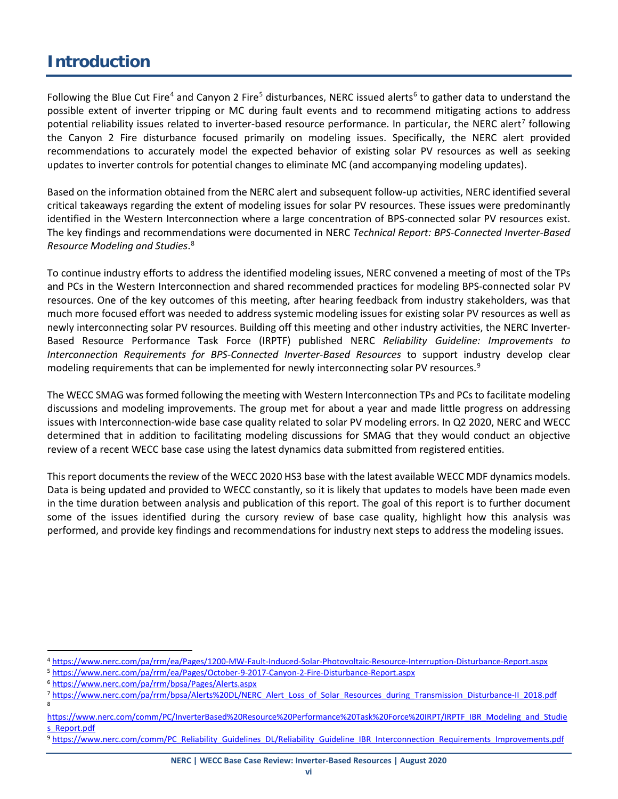## <span id="page-5-0"></span>**Introduction**

Following the Blue Cut Fire<sup>[4](#page-5-1)</sup> and Canyon 2 Fire<sup>[5](#page-5-2)</sup> disturbances, NERC issued alerts<sup>[6](#page-5-3)</sup> to gather data to understand the possible extent of inverter tripping or MC during fault events and to recommend mitigating actions to address potential reliability issues related to inverter-based resource performance. In particular, the NERC alert<sup>[7](#page-5-4)</sup> following the Canyon 2 Fire disturbance focused primarily on modeling issues. Specifically, the NERC alert provided recommendations to accurately model the expected behavior of existing solar PV resources as well as seeking updates to inverter controls for potential changes to eliminate MC (and accompanying modeling updates).

Based on the information obtained from the NERC alert and subsequent follow-up activities, NERC identified several critical takeaways regarding the extent of modeling issues for solar PV resources. These issues were predominantly identified in the Western Interconnection where a large concentration of BPS-connected solar PV resources exist. The key findings and recommendations were documented in NERC *Technical Report: BPS-Connected Inverter-Based Resource Modeling and Studies*. [8](#page-5-5)

To continue industry efforts to address the identified modeling issues, NERC convened a meeting of most of the TPs and PCs in the Western Interconnection and shared recommended practices for modeling BPS-connected solar PV resources. One of the key outcomes of this meeting, after hearing feedback from industry stakeholders, was that much more focused effort was needed to address systemic modeling issues for existing solar PV resources as well as newly interconnecting solar PV resources. Building off this meeting and other industry activities, the NERC Inverter-Based Resource Performance Task Force (IRPTF) published NERC *Reliability Guideline: Improvements to Interconnection Requirements for BPS-Connected Inverter-Based Resources* to support industry develop clear modeling requirements that can be implemented for newly interconnecting solar PV resources.<sup>[9](#page-5-6)</sup>

The WECC SMAG was formed following the meeting with Western Interconnection TPs and PCs to facilitate modeling discussions and modeling improvements. The group met for about a year and made little progress on addressing issues with Interconnection-wide base case quality related to solar PV modeling errors. In Q2 2020, NERC and WECC determined that in addition to facilitating modeling discussions for SMAG that they would conduct an objective review of a recent WECC base case using the latest dynamics data submitted from registered entities.

This report documents the review of the WECC 2020 HS3 base with the latest available WECC MDF dynamics models. Data is being updated and provided to WECC constantly, so it is likely that updates to models have been made even in the time duration between analysis and publication of this report. The goal of this report is to further document some of the issues identified during the cursory review of base case quality, highlight how this analysis was performed, and provide key findings and recommendations for industry next steps to address the modeling issues.

- <span id="page-5-2"></span><sup>5</sup> <https://www.nerc.com/pa/rrm/ea/Pages/October-9-2017-Canyon-2-Fire-Disturbance-Report.aspx>
- <span id="page-5-3"></span><sup>6</sup> <https://www.nerc.com/pa/rrm/bpsa/Pages/Alerts.aspx>

<span id="page-5-1"></span> <sup>4</sup> <https://www.nerc.com/pa/rrm/ea/Pages/1200-MW-Fault-Induced-Solar-Photovoltaic-Resource-Interruption-Disturbance-Report.aspx>

<span id="page-5-4"></span><sup>7</sup> [https://www.nerc.com/pa/rrm/bpsa/Alerts%20DL/NERC\\_Alert\\_Loss\\_of\\_Solar\\_Resources\\_during\\_Transmission\\_Disturbance-II\\_2018.pdf](https://www.nerc.com/pa/rrm/bpsa/Alerts%20DL/NERC_Alert_Loss_of_Solar_Resources_during_Transmission_Disturbance-II_2018.pdf) 8

<span id="page-5-5"></span>[https://www.nerc.com/comm/PC/InverterBased%20Resource%20Performance%20Task%20Force%20IRPT/IRPTF\\_IBR\\_Modeling\\_and\\_Studie](https://www.nerc.com/comm/PC/InverterBased%20Resource%20Performance%20Task%20Force%20IRPT/IRPTF_IBR_Modeling_and_Studies_Report.pdf) [s\\_Report.pdf](https://www.nerc.com/comm/PC/InverterBased%20Resource%20Performance%20Task%20Force%20IRPT/IRPTF_IBR_Modeling_and_Studies_Report.pdf)

<span id="page-5-6"></span><sup>9</sup> [https://www.nerc.com/comm/PC\\_Reliability\\_Guidelines\\_DL/Reliability\\_Guideline\\_IBR\\_Interconnection\\_Requirements\\_Improvements.pdf](https://www.nerc.com/comm/PC_Reliability_Guidelines_DL/Reliability_Guideline_IBR_Interconnection_Requirements_Improvements.pdf)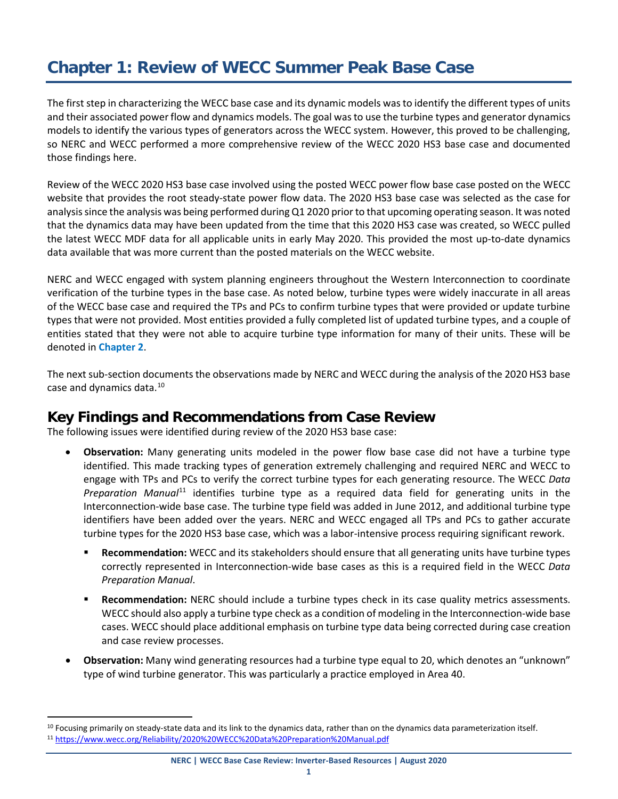# <span id="page-6-0"></span>**Chapter 1: Review of WECC Summer Peak Base Case**

The first step in characterizing the WECC base case and its dynamic models was to identify the different types of units and their associated power flow and dynamics models. The goal was to use the turbine types and generator dynamics models to identify the various types of generators across the WECC system. However, this proved to be challenging, so NERC and WECC performed a more comprehensive review of the WECC 2020 HS3 base case and documented those findings here.

Review of the WECC 2020 HS3 base case involved using the posted WECC power flow base case posted on the WECC website that provides the root steady-state power flow data. The 2020 HS3 base case was selected as the case for analysis since the analysis was being performed during Q1 2020 prior to that upcoming operating season. It was noted that the dynamics data may have been updated from the time that this 2020 HS3 case was created, so WECC pulled the latest WECC MDF data for all applicable units in early May 2020. This provided the most up-to-date dynamics data available that was more current than the posted materials on the WECC website.

NERC and WECC engaged with system planning engineers throughout the Western Interconnection to coordinate verification of the turbine types in the base case. As noted below, turbine types were widely inaccurate in all areas of the WECC base case and required the TPs and PCs to confirm turbine types that were provided or update turbine types that were not provided. Most entities provided a fully completed list of updated turbine types, and a couple of entities stated that they were not able to acquire turbine type information for many of their units. These will be denoted in **[Chapter 2](#page-10-0)**.

The next sub-section documents the observations made by NERC and WECC during the analysis of the 2020 HS3 base case and dynamics data.<sup>[10](#page-6-2)</sup>

#### <span id="page-6-1"></span>**Key Findings and Recommendations from Case Review**

The following issues were identified during review of the 2020 HS3 base case:

- **Observation:** Many generating units modeled in the power flow base case did not have a turbine type identified. This made tracking types of generation extremely challenging and required NERC and WECC to engage with TPs and PCs to verify the correct turbine types for each generating resource. The WECC *Data Preparation Manual*[11](#page-6-3) identifies turbine type as a required data field for generating units in the Interconnection-wide base case. The turbine type field was added in June 2012, and additional turbine type identifiers have been added over the years. NERC and WECC engaged all TPs and PCs to gather accurate turbine types for the 2020 HS3 base case, which was a labor-intensive process requiring significant rework.
	- **Recommendation:** WECC and its stakeholders should ensure that all generating units have turbine types correctly represented in Interconnection-wide base cases as this is a required field in the WECC *Data Preparation Manual*.
	- **Recommendation:** NERC should include a turbine types check in its case quality metrics assessments. WECC should also apply a turbine type check as a condition of modeling in the Interconnection-wide base cases. WECC should place additional emphasis on turbine type data being corrected during case creation and case review processes.
- **Observation:** Many wind generating resources had a turbine type equal to 20, which denotes an "unknown" type of wind turbine generator. This was particularly a practice employed in Area 40.

<span id="page-6-3"></span><span id="page-6-2"></span><sup>&</sup>lt;sup>10</sup> Focusing primarily on steady-state data and its link to the dynamics data, rather than on the dynamics data parameterization itself. <sup>11</sup> <https://www.wecc.org/Reliability/2020%20WECC%20Data%20Preparation%20Manual.pdf>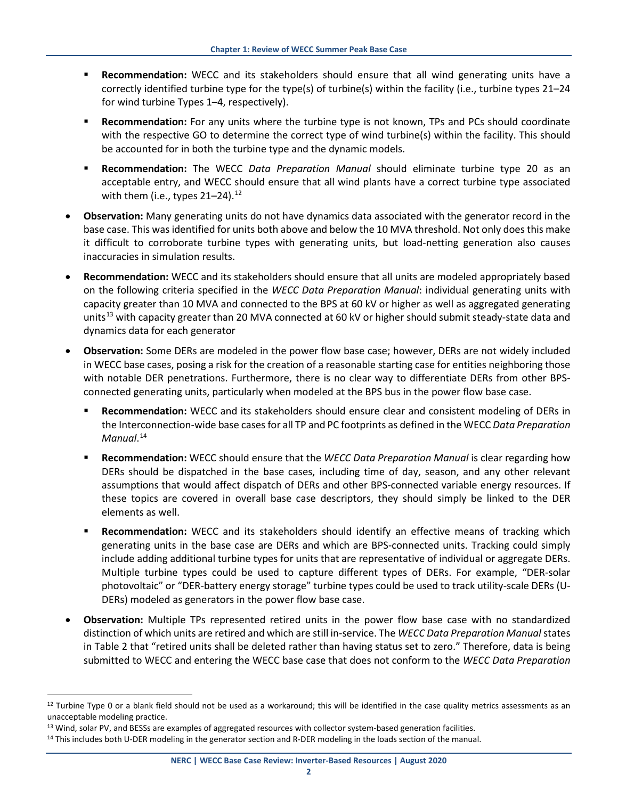- **Recommendation:** WECC and its stakeholders should ensure that all wind generating units have a correctly identified turbine type for the type(s) of turbine(s) within the facility (i.e., turbine types 21–24 for wind turbine Types 1–4, respectively).
- **Recommendation:** For any units where the turbine type is not known, TPs and PCs should coordinate with the respective GO to determine the correct type of wind turbine(s) within the facility. This should be accounted for in both the turbine type and the dynamic models.
- **Recommendation:** The WECC *Data Preparation Manual* should eliminate turbine type 20 as an acceptable entry, and WECC should ensure that all wind plants have a correct turbine type associated with them (i.e., types  $21-24$ ).<sup>[12](#page-7-0)</sup>
- **Observation:** Many generating units do not have dynamics data associated with the generator record in the base case. This was identified for units both above and below the 10 MVA threshold. Not only does this make it difficult to corroborate turbine types with generating units, but load-netting generation also causes inaccuracies in simulation results.
- **Recommendation:** WECC and its stakeholders should ensure that all units are modeled appropriately based on the following criteria specified in the *WECC Data Preparation Manual*: individual generating units with capacity greater than 10 MVA and connected to the BPS at 60 kV or higher as well as aggregated generating units<sup>[13](#page-7-1)</sup> with capacity greater than 20 MVA connected at 60 kV or higher should submit steady-state data and dynamics data for each generator
- **Observation:** Some DERs are modeled in the power flow base case; however, DERs are not widely included in WECC base cases, posing a risk for the creation of a reasonable starting case for entities neighboring those with notable DER penetrations. Furthermore, there is no clear way to differentiate DERs from other BPSconnected generating units, particularly when modeled at the BPS bus in the power flow base case.
	- **Recommendation:** WECC and its stakeholders should ensure clear and consistent modeling of DERs in the Interconnection-wide base cases for all TP and PC footprints as defined in the WECC *Data Preparation Manual*. [14](#page-7-2)
	- **Recommendation:** WECC should ensure that the *WECC Data Preparation Manual* is clear regarding how DERs should be dispatched in the base cases, including time of day, season, and any other relevant assumptions that would affect dispatch of DERs and other BPS-connected variable energy resources. If these topics are covered in overall base case descriptors, they should simply be linked to the DER elements as well.
	- **Recommendation:** WECC and its stakeholders should identify an effective means of tracking which generating units in the base case are DERs and which are BPS-connected units. Tracking could simply include adding additional turbine types for units that are representative of individual or aggregate DERs. Multiple turbine types could be used to capture different types of DERs. For example, "DER-solar photovoltaic" or "DER-battery energy storage" turbine types could be used to track utility-scale DERs (U-DERs) modeled as generators in the power flow base case.
- **Observation:** Multiple TPs represented retired units in the power flow base case with no standardized distinction of which units are retired and which are still in-service. The *WECC Data Preparation Manual* states in Table 2 that "retired units shall be deleted rather than having status set to zero." Therefore, data is being submitted to WECC and entering the WECC base case that does not conform to the *WECC Data Preparation*

<span id="page-7-0"></span> $12$  Turbine Type 0 or a blank field should not be used as a workaround; this will be identified in the case quality metrics assessments as an unacceptable modeling practice.

<span id="page-7-1"></span><sup>13</sup> Wind, solar PV, and BESSs are examples of aggregated resources with collector system-based generation facilities.

<span id="page-7-2"></span><sup>&</sup>lt;sup>14</sup> This includes both U-DER modeling in the generator section and R-DER modeling in the loads section of the manual.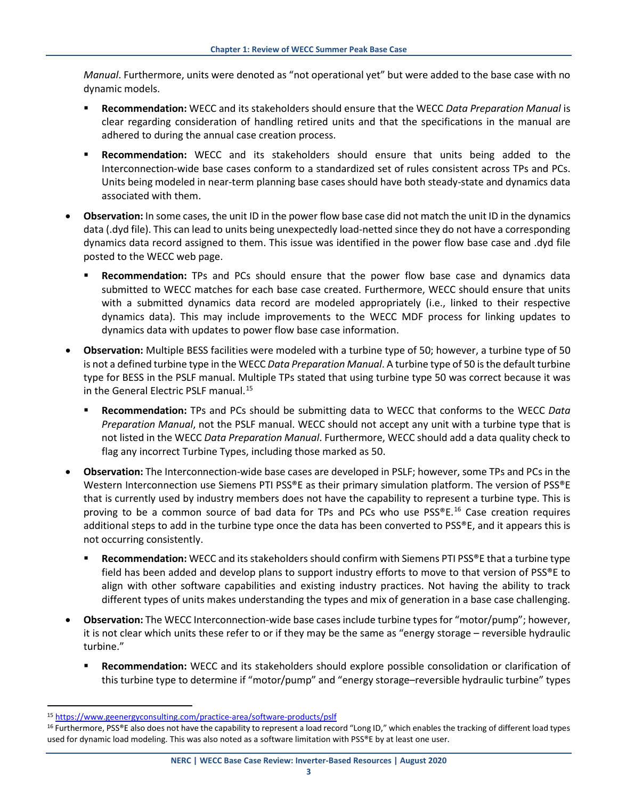*Manual*. Furthermore, units were denoted as "not operational yet" but were added to the base case with no dynamic models.

- **Recommendation:** WECC and its stakeholders should ensure that the WECC *Data Preparation Manual* is clear regarding consideration of handling retired units and that the specifications in the manual are adhered to during the annual case creation process.
- **Recommendation:** WECC and its stakeholders should ensure that units being added to the Interconnection-wide base cases conform to a standardized set of rules consistent across TPs and PCs. Units being modeled in near-term planning base cases should have both steady-state and dynamics data associated with them.
- **Observation:** In some cases, the unit ID in the power flow base case did not match the unit ID in the dynamics data (.dyd file). This can lead to units being unexpectedly load-netted since they do not have a corresponding dynamics data record assigned to them. This issue was identified in the power flow base case and .dyd file posted to the WECC web page.
	- **Recommendation:** TPs and PCs should ensure that the power flow base case and dynamics data submitted to WECC matches for each base case created. Furthermore, WECC should ensure that units with a submitted dynamics data record are modeled appropriately (i.e., linked to their respective dynamics data). This may include improvements to the WECC MDF process for linking updates to dynamics data with updates to power flow base case information.
- **Observation:** Multiple BESS facilities were modeled with a turbine type of 50; however, a turbine type of 50 is not a defined turbine type in the WECC *Data Preparation Manual*. A turbine type of 50 is the default turbine type for BESS in the PSLF manual. Multiple TPs stated that using turbine type 50 was correct because it was in the General Electric PSLF manual.<sup>[15](#page-8-0)</sup>
	- **Recommendation:** TPs and PCs should be submitting data to WECC that conforms to the WECC *Data Preparation Manual*, not the PSLF manual. WECC should not accept any unit with a turbine type that is not listed in the WECC *Data Preparation Manual*. Furthermore, WECC should add a data quality check to flag any incorrect Turbine Types, including those marked as 50.
- **Observation:** The Interconnection-wide base cases are developed in PSLF; however, some TPs and PCs in the Western Interconnection use Siemens PTI PSS®E as their primary simulation platform. The version of PSS®E that is currently used by industry members does not have the capability to represent a turbine type. This is proving to be a common source of bad data for TPs and PCs who use  $PSS^{\otimes}E$ .<sup>[16](#page-8-1)</sup> Case creation requires additional steps to add in the turbine type once the data has been converted to PSS®E, and it appears this is not occurring consistently.
	- **Recommendation:** WECC and its stakeholders should confirm with Siemens PTI PSS®E that a turbine type field has been added and develop plans to support industry efforts to move to that version of PSS®E to align with other software capabilities and existing industry practices. Not having the ability to track different types of units makes understanding the types and mix of generation in a base case challenging.
- **Observation:** The WECC Interconnection-wide base cases include turbine types for "motor/pump"; however, it is not clear which units these refer to or if they may be the same as "energy storage – reversible hydraulic turbine."
	- **Recommendation:** WECC and its stakeholders should explore possible consolidation or clarification of this turbine type to determine if "motor/pump" and "energy storage–reversible hydraulic turbine" types

<span id="page-8-0"></span> <sup>15</sup> <https://www.geenergyconsulting.com/practice-area/software-products/pslf>

<span id="page-8-1"></span><sup>&</sup>lt;sup>16</sup> Furthermore, PSS®E also does not have the capability to represent a load record "Long ID," which enables the tracking of different load types used for dynamic load modeling. This was also noted as a software limitation with PSS®E by at least one user.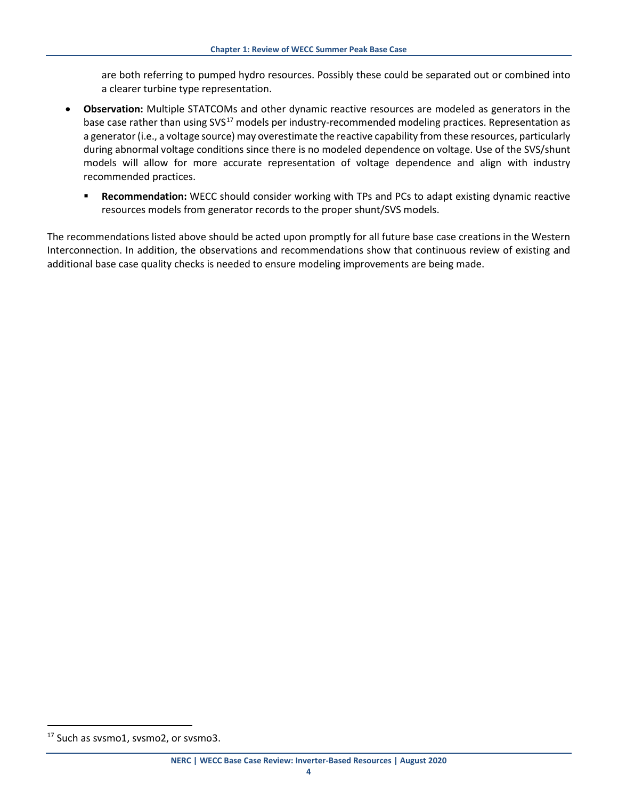are both referring to pumped hydro resources. Possibly these could be separated out or combined into a clearer turbine type representation.

- **Observation:** Multiple STATCOMs and other dynamic reactive resources are modeled as generators in the base case rather than using SVS<sup>[17](#page-9-0)</sup> models per industry-recommended modeling practices. Representation as a generator (i.e., a voltage source) may overestimate the reactive capability from these resources, particularly during abnormal voltage conditions since there is no modeled dependence on voltage. Use of the SVS/shunt models will allow for more accurate representation of voltage dependence and align with industry recommended practices.
	- **Recommendation:** WECC should consider working with TPs and PCs to adapt existing dynamic reactive resources models from generator records to the proper shunt/SVS models.

The recommendations listed above should be acted upon promptly for all future base case creations in the Western Interconnection. In addition, the observations and recommendations show that continuous review of existing and additional base case quality checks is needed to ensure modeling improvements are being made.

<span id="page-9-0"></span><sup>&</sup>lt;sup>17</sup> Such as svsmo1, svsmo2, or svsmo3.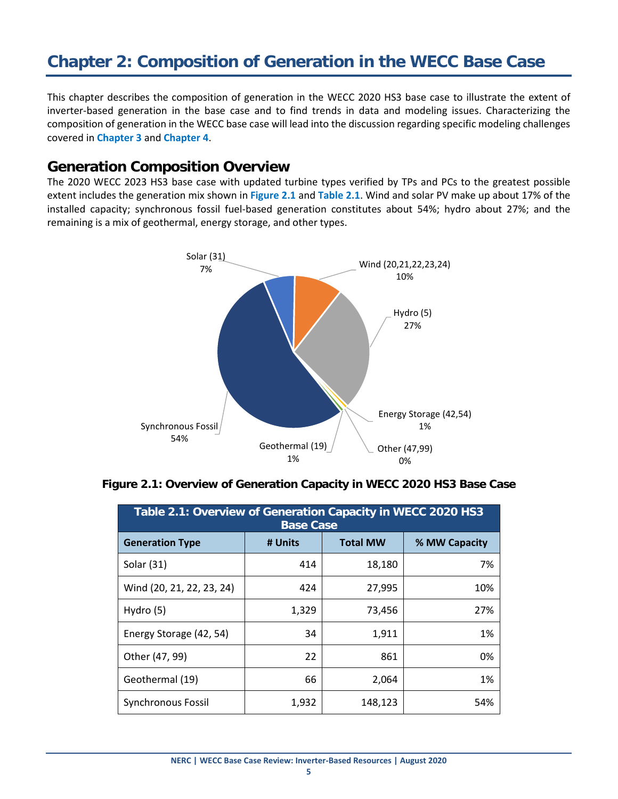# <span id="page-10-0"></span>**Chapter 2: Composition of Generation in the WECC Base Case**

This chapter describes the composition of generation in the WECC 2020 HS3 base case to illustrate the extent of inverter-based generation in the base case and to find trends in data and modeling issues. Characterizing the composition of generation in the WECC base case will lead into the discussion regarding specific modeling challenges covered in **[Chapter 3](#page-16-0)** and **[Chapter 4](#page-24-0)**.

#### <span id="page-10-1"></span>**Generation Composition Overview**

The 2020 WECC 2023 HS3 base case with updated turbine types verified by TPs and PCs to the greatest possible extent includes the generation mix shown in **Figure 2.1** and **Table 2.1**. Wind and solar PV make up about 17% of the installed capacity; synchronous fossil fuel-based generation constitutes about 54%; hydro about 27%; and the remaining is a mix of geothermal, energy storage, and other types.



|  | Figure 2.1: Overview of Generation Capacity in WECC 2020 HS3 Base Case |
|--|------------------------------------------------------------------------|
|--|------------------------------------------------------------------------|

| Table 2.1: Overview of Generation Capacity in WECC 2020 HS3<br><b>Base Case</b> |         |                 |               |  |  |
|---------------------------------------------------------------------------------|---------|-----------------|---------------|--|--|
| <b>Generation Type</b>                                                          | # Units | <b>Total MW</b> | % MW Capacity |  |  |
| Solar (31)                                                                      | 414     | 18,180          | 7%            |  |  |
| Wind (20, 21, 22, 23, 24)                                                       | 424     | 27,995          | 10%           |  |  |
| Hydro (5)                                                                       | 1,329   | 73,456          | 27%           |  |  |
| Energy Storage (42, 54)                                                         | 34      | 1,911           | 1%            |  |  |
| Other (47, 99)                                                                  | 22      | 861             | 0%            |  |  |
| Geothermal (19)                                                                 | 66      | 2,064           | 1%            |  |  |
| Synchronous Fossil                                                              | 1,932   | 148,123         | 54%           |  |  |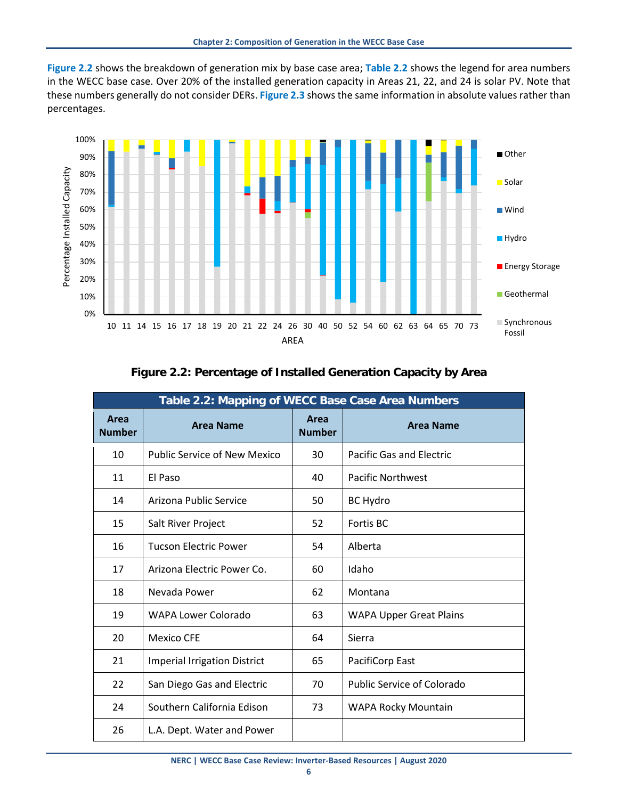**Figure 2.2** shows the breakdown of generation mix by base case area; **Table 2.2** shows the legend for area numbers in the WECC base case. Over 20% of the installed generation capacity in Areas 21, 22, and 24 is solar PV. Note that these numbers generally do not consider DERs. **Figure 2.3** shows the same information in absolute values rather than percentages.



| Table 2.2: Mapping of WECC Base Case Area Numbers |                                     |                       |                                 |  |  |
|---------------------------------------------------|-------------------------------------|-----------------------|---------------------------------|--|--|
| Area<br><b>Number</b>                             | <b>Area Name</b>                    | Area<br><b>Number</b> | <b>Area Name</b>                |  |  |
| 10                                                | <b>Public Service of New Mexico</b> | 30                    | <b>Pacific Gas and Electric</b> |  |  |
| 11                                                | El Paso                             | 40                    | <b>Pacific Northwest</b>        |  |  |
| 14                                                | Arizona Public Service              | 50                    | <b>BC Hydro</b>                 |  |  |
| 15                                                | Salt River Project                  | 52                    | Fortis BC                       |  |  |
| 16                                                | <b>Tucson Electric Power</b>        | 54                    | Alberta                         |  |  |
| 17                                                | Arizona Electric Power Co.          | 60                    | Idaho                           |  |  |
| 18                                                | Nevada Power                        | 62                    | Montana                         |  |  |
| 19                                                | WAPA Lower Colorado                 | 63                    | <b>WAPA Upper Great Plains</b>  |  |  |
| 20                                                | <b>Mexico CFE</b>                   | 64                    | Sierra                          |  |  |
| 21                                                | <b>Imperial Irrigation District</b> | 65                    | PacifiCorp East                 |  |  |
| 22                                                | San Diego Gas and Electric          | 70                    | Public Service of Colorado      |  |  |
| 24                                                | Southern California Edison          | 73                    | <b>WAPA Rocky Mountain</b>      |  |  |
| 26                                                | L.A. Dept. Water and Power          |                       |                                 |  |  |

#### **Figure 2.2: Percentage of Installed Generation Capacity by Area**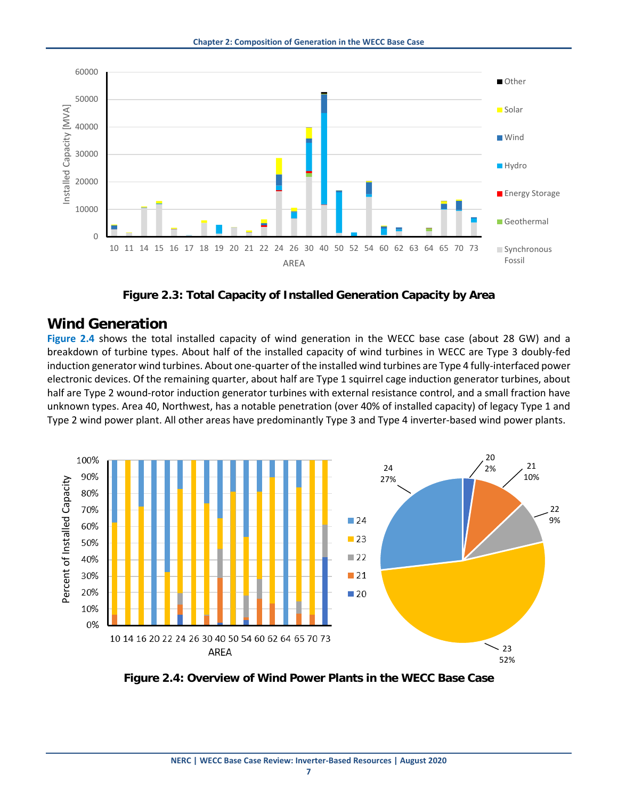

**Figure 2.3: Total Capacity of Installed Generation Capacity by Area**

#### <span id="page-12-0"></span>**Wind Generation**

**Figure 2.4** shows the total installed capacity of wind generation in the WECC base case (about 28 GW) and a breakdown of turbine types. About half of the installed capacity of wind turbines in WECC are Type 3 doubly-fed induction generator wind turbines. About one-quarter of the installed wind turbines are Type 4 fully-interfaced power electronic devices. Of the remaining quarter, about half are Type 1 squirrel cage induction generator turbines, about half are Type 2 wound-rotor induction generator turbines with external resistance control, and a small fraction have unknown types. Area 40, Northwest, has a notable penetration (over 40% of installed capacity) of legacy Type 1 and Type 2 wind power plant. All other areas have predominantly Type 3 and Type 4 inverter-based wind power plants.



**Figure 2.4: Overview of Wind Power Plants in the WECC Base Case**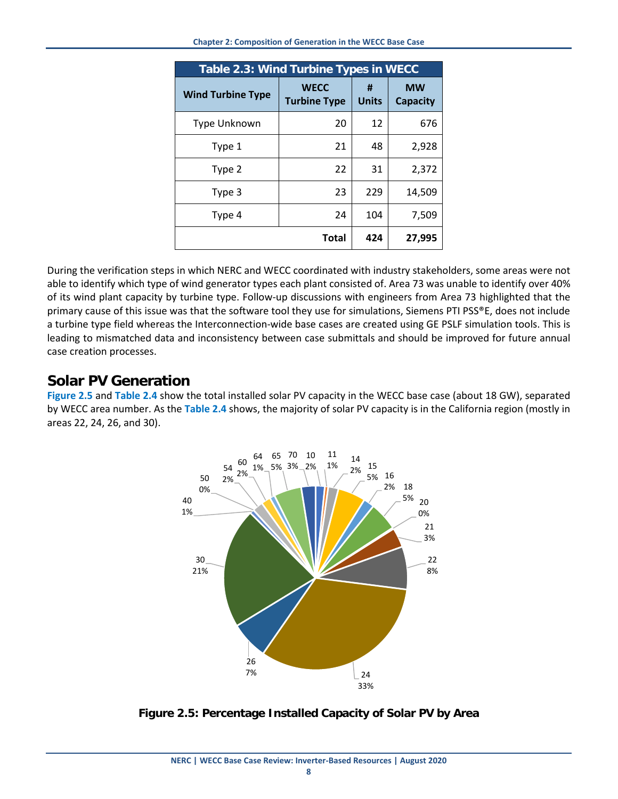| Table 2.3: Wind Turbine Types in WECC |                                    |                   |                              |  |  |
|---------------------------------------|------------------------------------|-------------------|------------------------------|--|--|
| <b>Wind Turbine Type</b>              | <b>WECC</b><br><b>Turbine Type</b> | #<br><b>Units</b> | <b>MW</b><br><b>Capacity</b> |  |  |
| Type Unknown                          | 20                                 | 12                | 676                          |  |  |
| Type 1                                | 21                                 | 48                | 2,928                        |  |  |
| Type 2                                | 22                                 | 31                | 2,372                        |  |  |
| Type 3                                | 23                                 | 229               | 14,509                       |  |  |
| Type 4                                | 24                                 | 104               | 7,509                        |  |  |
|                                       | <b>Total</b>                       | 424               | 27,995                       |  |  |

During the verification steps in which NERC and WECC coordinated with industry stakeholders, some areas were not able to identify which type of wind generator types each plant consisted of. Area 73 was unable to identify over 40% of its wind plant capacity by turbine type. Follow-up discussions with engineers from Area 73 highlighted that the primary cause of this issue was that the software tool they use for simulations, Siemens PTI PSS®E, does not include a turbine type field whereas the Interconnection-wide base cases are created using GE PSLF simulation tools. This is leading to mismatched data and inconsistency between case submittals and should be improved for future annual case creation processes.

#### <span id="page-13-0"></span>**Solar PV Generation**

**Figure 2.5** and **Table 2.4** show the total installed solar PV capacity in the WECC base case (about 18 GW), separated by WECC area number. As the **Table 2.4** shows, the majority of solar PV capacity is in the California region (mostly in areas 22, 24, 26, and 30).



**Figure 2.5: Percentage Installed Capacity of Solar PV by Area**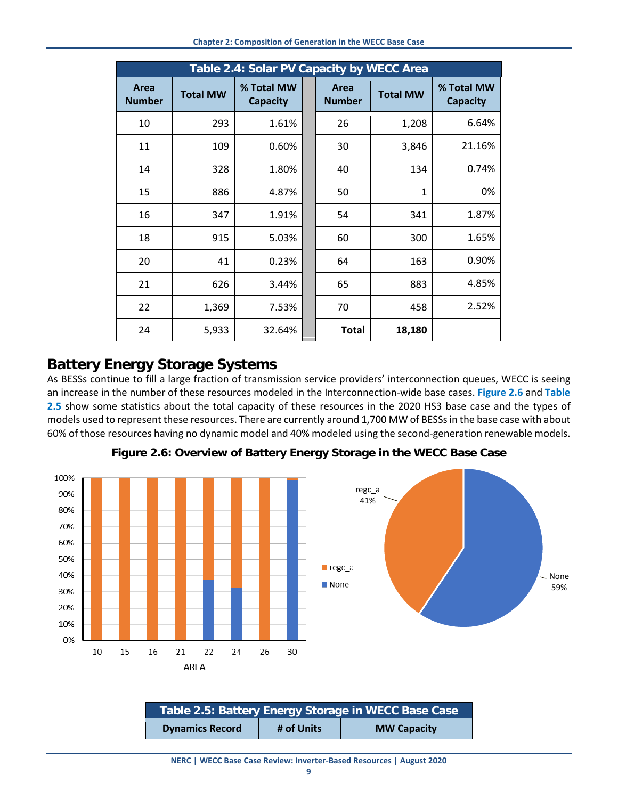| Table 2.4: Solar PV Capacity by WECC Area |                 |                               |  |                       |                 |                               |
|-------------------------------------------|-----------------|-------------------------------|--|-----------------------|-----------------|-------------------------------|
| Area<br><b>Number</b>                     | <b>Total MW</b> | % Total MW<br><b>Capacity</b> |  | Area<br><b>Number</b> | <b>Total MW</b> | % Total MW<br><b>Capacity</b> |
| 10                                        | 293             | 1.61%                         |  | 26                    | 1,208           | 6.64%                         |
| 11                                        | 109             | 0.60%                         |  | 30                    | 3,846           | 21.16%                        |
| 14                                        | 328             | 1.80%                         |  | 40                    | 134             | 0.74%                         |
| 15                                        | 886             | 4.87%                         |  | 50                    | 1               | 0%                            |
| 16                                        | 347             | 1.91%                         |  | 54                    | 341             | 1.87%                         |
| 18                                        | 915             | 5.03%                         |  | 60                    | 300             | 1.65%                         |
| 20                                        | 41              | 0.23%                         |  | 64                    | 163             | 0.90%                         |
| 21                                        | 626             | 3.44%                         |  | 65                    | 883             | 4.85%                         |
| 22                                        | 1,369           | 7.53%                         |  | 70                    | 458             | 2.52%                         |
| 24                                        | 5,933           | 32.64%                        |  | <b>Total</b>          | 18,180          |                               |

#### <span id="page-14-0"></span>**Battery Energy Storage Systems**

As BESSs continue to fill a large fraction of transmission service providers' interconnection queues, WECC is seeing an increase in the number of these resources modeled in the Interconnection-wide base cases. **Figure 2.6** and **Table 2.5** show some statistics about the total capacity of these resources in the 2020 HS3 base case and the types of models used to represent these resources. There are currently around 1,700 MW of BESSs in the base case with about 60% of those resources having no dynamic model and 40% modeled using the second-generation renewable models.



**Figure 2.6: Overview of Battery Energy Storage in the WECC Base Case**

| Table 2.5: Battery Energy Storage in WECC Base Case |            |                    |  |  |
|-----------------------------------------------------|------------|--------------------|--|--|
| <b>Dynamics Record</b>                              | # of Units | <b>MW Capacity</b> |  |  |

**NERC | WECC Base Case Review: Inverter-Based Resources | August 2020**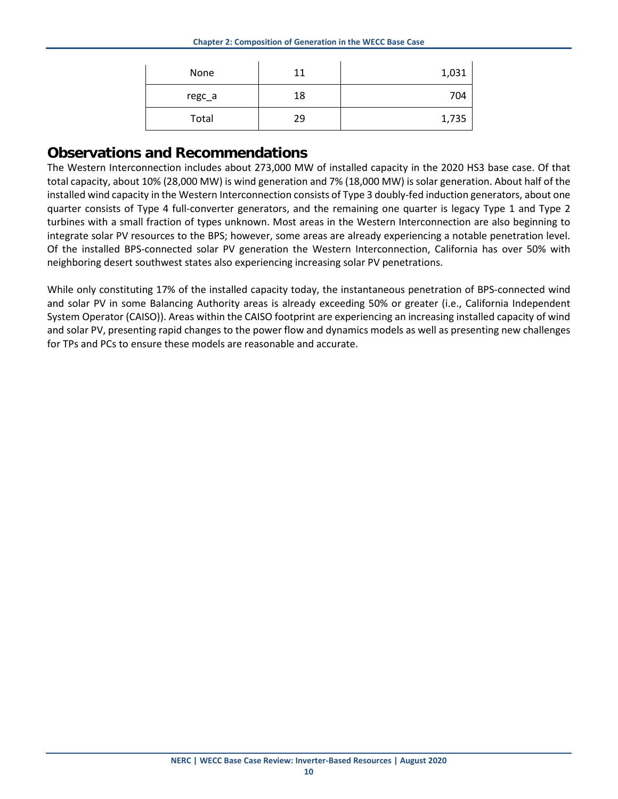| None   | 11 | 1,031 |
|--------|----|-------|
| regc_a | 18 | 704   |
| Total  | 29 | 1,735 |

#### <span id="page-15-0"></span>**Observations and Recommendations**

The Western Interconnection includes about 273,000 MW of installed capacity in the 2020 HS3 base case. Of that total capacity, about 10% (28,000 MW) is wind generation and 7% (18,000 MW) is solar generation. About half of the installed wind capacity in the Western Interconnection consists of Type 3 doubly-fed induction generators, about one quarter consists of Type 4 full-converter generators, and the remaining one quarter is legacy Type 1 and Type 2 turbines with a small fraction of types unknown. Most areas in the Western Interconnection are also beginning to integrate solar PV resources to the BPS; however, some areas are already experiencing a notable penetration level. Of the installed BPS-connected solar PV generation the Western Interconnection, California has over 50% with neighboring desert southwest states also experiencing increasing solar PV penetrations.

While only constituting 17% of the installed capacity today, the instantaneous penetration of BPS-connected wind and solar PV in some Balancing Authority areas is already exceeding 50% or greater (i.e., California Independent System Operator (CAISO)). Areas within the CAISO footprint are experiencing an increasing installed capacity of wind and solar PV, presenting rapid changes to the power flow and dynamics models as well as presenting new challenges for TPs and PCs to ensure these models are reasonable and accurate.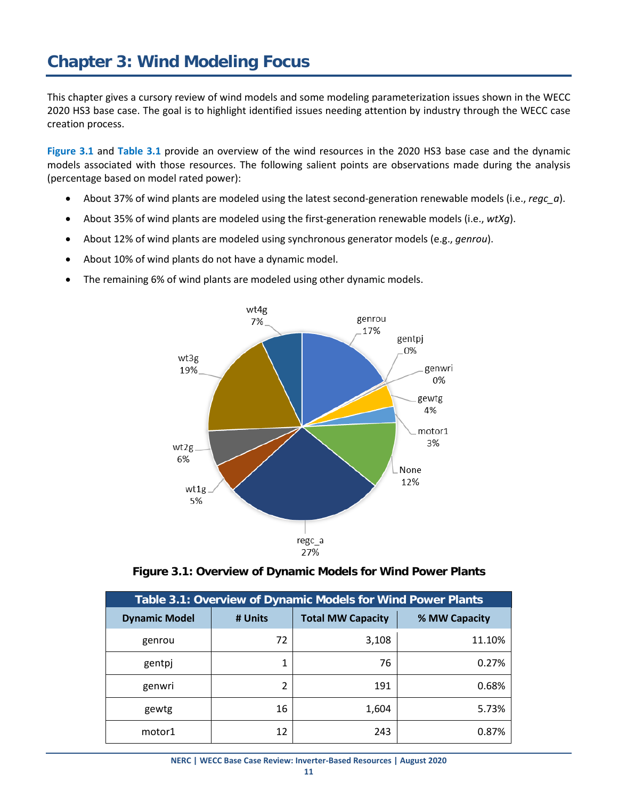<span id="page-16-0"></span>This chapter gives a cursory review of wind models and some modeling parameterization issues shown in the WECC 2020 HS3 base case. The goal is to highlight identified issues needing attention by industry through the WECC case creation process.

**Figure 3.1** and **Table 3.1** provide an overview of the wind resources in the 2020 HS3 base case and the dynamic models associated with those resources. The following salient points are observations made during the analysis (percentage based on model rated power):

- About 37% of wind plants are modeled using the latest second-generation renewable models (i.e., *regc\_a*).
- About 35% of wind plants are modeled using the first-generation renewable models (i.e., *wtXg*).
- About 12% of wind plants are modeled using synchronous generator models (e.g., *genrou*).
- About 10% of wind plants do not have a dynamic model.
- The remaining 6% of wind plants are modeled using other dynamic models.



**Figure 3.1: Overview of Dynamic Models for Wind Power Plants**

| <b>Table 3.1: Overview of Dynamic Models for Wind Power Plants</b> |         |                          |               |  |  |
|--------------------------------------------------------------------|---------|--------------------------|---------------|--|--|
| <b>Dynamic Model</b>                                               | # Units | <b>Total MW Capacity</b> | % MW Capacity |  |  |
| genrou                                                             | 72      | 3,108                    | 11.10%        |  |  |
| gentpj                                                             | 1       | 76                       | 0.27%         |  |  |
| genwri                                                             | 2       | 191                      | 0.68%         |  |  |
| gewtg                                                              | 16      | 1,604                    | 5.73%         |  |  |
| motor1                                                             | 12      | 243                      | 0.87%         |  |  |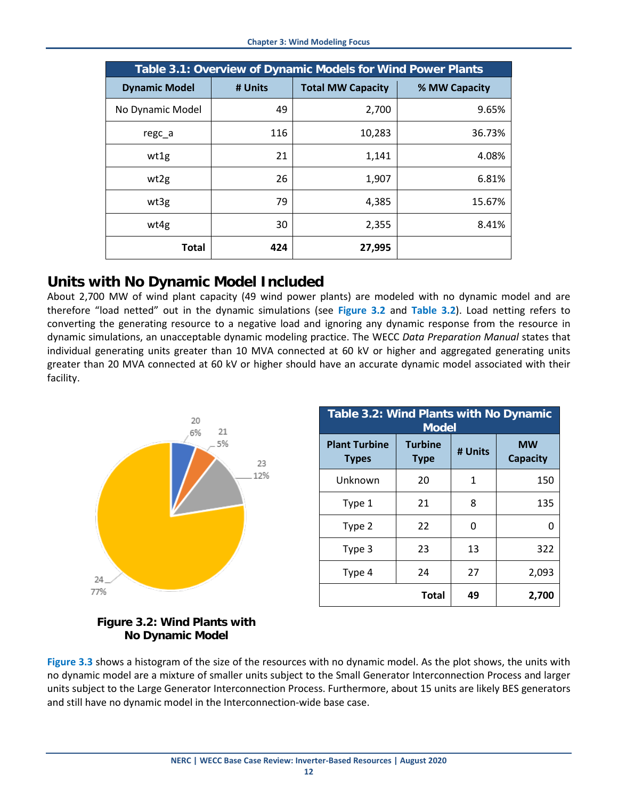| Table 3.1: Overview of Dynamic Models for Wind Power Plants |         |                          |               |  |  |
|-------------------------------------------------------------|---------|--------------------------|---------------|--|--|
| <b>Dynamic Model</b>                                        | # Units | <b>Total MW Capacity</b> | % MW Capacity |  |  |
| No Dynamic Model                                            | 49      | 2,700                    | 9.65%         |  |  |
| regc_a                                                      | 116     | 10,283                   | 36.73%        |  |  |
| wt1g                                                        | 21      | 1,141                    | 4.08%         |  |  |
| wt2g                                                        | 26      | 1,907                    | 6.81%         |  |  |
| wt3g                                                        | 79      | 4,385                    | 15.67%        |  |  |
| wt4g                                                        | 30      | 2,355                    | 8.41%         |  |  |
| <b>Total</b>                                                | 424     | 27,995                   |               |  |  |

#### <span id="page-17-0"></span>**Units with No Dynamic Model Included**

About 2,700 MW of wind plant capacity (49 wind power plants) are modeled with no dynamic model and are therefore "load netted" out in the dynamic simulations (see **Figure 3.2** and **Table 3.2**). Load netting refers to converting the generating resource to a negative load and ignoring any dynamic response from the resource in dynamic simulations, an unacceptable dynamic modeling practice. The WECC *Data Preparation Manual* states that individual generating units greater than 10 MVA connected at 60 kV or higher and aggregated generating units greater than 20 MVA connected at 60 kV or higher should have an accurate dynamic model associated with their facility.



| Table 3.2: Wind Plants with No Dynamic<br><b>Model</b> |                               |         |                              |
|--------------------------------------------------------|-------------------------------|---------|------------------------------|
| <b>Plant Turbine</b><br><b>Types</b>                   | <b>Turbine</b><br><b>Type</b> | # Units | <b>MW</b><br><b>Capacity</b> |
| Unknown                                                | 20                            | 1       | 150                          |
| Type 1                                                 | 21                            | 8       | 135                          |
| Type 2                                                 | 22                            | 0       | O                            |
| Type 3                                                 | 23                            | 13      | 322                          |
| Type 4                                                 | 24                            | 27      | 2,093                        |
|                                                        | <b>Total</b>                  | 49      | 2,700                        |

#### **Figure 3.2: Wind Plants with No Dynamic Model**

**Figure 3.3** shows a histogram of the size of the resources with no dynamic model. As the plot shows, the units with no dynamic model are a mixture of smaller units subject to the Small Generator Interconnection Process and larger units subject to the Large Generator Interconnection Process. Furthermore, about 15 units are likely BES generators and still have no dynamic model in the Interconnection-wide base case.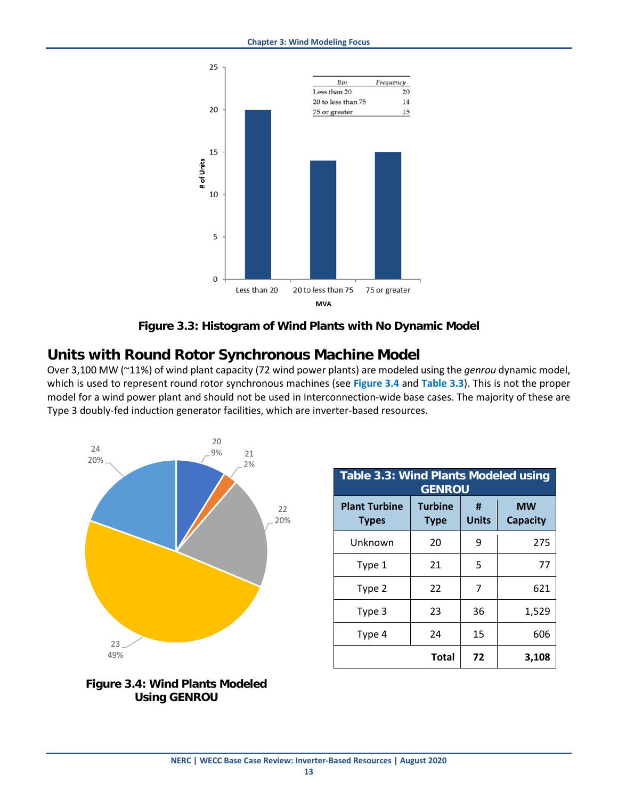

**Figure 3.3: Histogram of Wind Plants with No Dynamic Model**

#### <span id="page-18-0"></span>**Units with Round Rotor Synchronous Machine Model**

Over 3,100 MW (~11%) of wind plant capacity (72 wind power plants) are modeled using the *genrou* dynamic model, which is used to represent round rotor synchronous machines (see **Figure 3.4** and **Table 3.3**). This is not the proper model for a wind power plant and should not be used in Interconnection-wide base cases. The majority of these are Type 3 doubly-fed induction generator facilities, which are inverter-based resources.





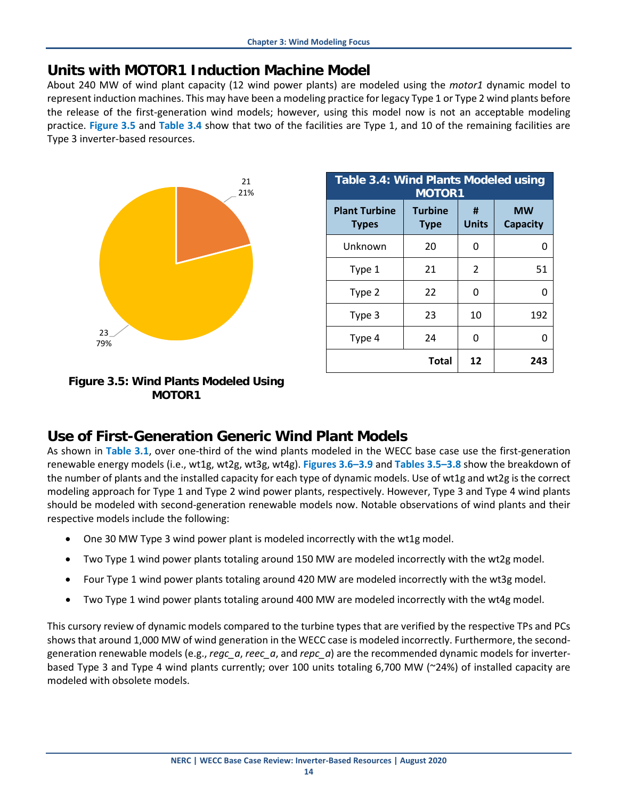#### <span id="page-19-0"></span>**Units with MOTOR1 Induction Machine Model**

About 240 MW of wind plant capacity (12 wind power plants) are modeled using the *motor1* dynamic model to represent induction machines. This may have been a modeling practice for legacy Type 1 or Type 2 wind plants before the release of the first-generation wind models; however, using this model now is not an acceptable modeling practice. **Figure 3.5** and **Table 3.4** show that two of the facilities are Type 1, and 10 of the remaining facilities are Type 3 inverter-based resources.



| Table 3.4: Wind Plants Modeled using<br><b>MOTOR1</b> |                               |                   |                              |
|-------------------------------------------------------|-------------------------------|-------------------|------------------------------|
| <b>Plant Turbine</b><br><b>Types</b>                  | <b>Turbine</b><br><b>Type</b> | #<br><b>Units</b> | <b>MW</b><br><b>Capacity</b> |
| Unknown                                               | 20                            | 0                 | O                            |
| Type 1                                                | 21                            | $\mathcal{P}$     | 51                           |
| Type 2                                                | 22                            | ŋ                 | ი                            |
| Type 3                                                | 23                            | 10                | 192                          |
| Type 4                                                | 24                            | O                 | O                            |
|                                                       | <b>Total</b>                  | 12                | 243                          |

#### **Figure 3.5: Wind Plants Modeled Using MOTOR1**

#### <span id="page-19-1"></span>**Use of First-Generation Generic Wind Plant Models**

As shown in **Table 3.1**, over one-third of the wind plants modeled in the WECC base case use the first-generation renewable energy models (i.e., wt1g, wt2g, wt3g, wt4g). **Figures 3.6–3.9** and **Tables 3.5–3.8** show the breakdown of the number of plants and the installed capacity for each type of dynamic models. Use of wt1g and wt2g is the correct modeling approach for Type 1 and Type 2 wind power plants, respectively. However, Type 3 and Type 4 wind plants should be modeled with second-generation renewable models now. Notable observations of wind plants and their respective models include the following:

- One 30 MW Type 3 wind power plant is modeled incorrectly with the wt1g model.
- Two Type 1 wind power plants totaling around 150 MW are modeled incorrectly with the wt2g model.
- Four Type 1 wind power plants totaling around 420 MW are modeled incorrectly with the wt3g model.
- Two Type 1 wind power plants totaling around 400 MW are modeled incorrectly with the wt4g model.

This cursory review of dynamic models compared to the turbine types that are verified by the respective TPs and PCs shows that around 1,000 MW of wind generation in the WECC case is modeled incorrectly. Furthermore, the secondgeneration renewable models (e.g., *regc\_a*, *reec\_a*, and *repc\_a*) are the recommended dynamic models for inverterbased Type 3 and Type 4 wind plants currently; over 100 units totaling 6,700 MW (~24%) of installed capacity are modeled with obsolete models.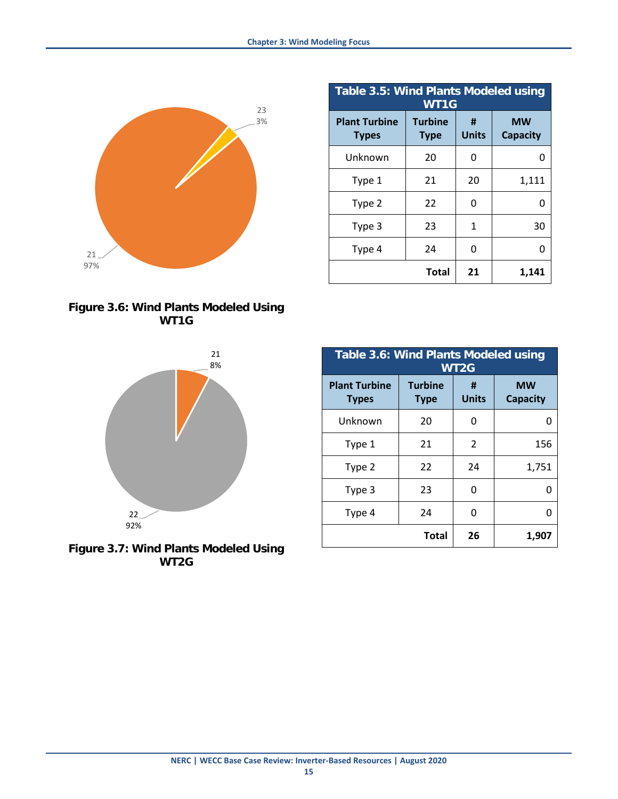

**Figure 3.6: Wind Plants Modeled Using WT1G**



**Figure 3.7: Wind Plants Modeled Using WT2G**

| <b>Table 3.5: Wind Plants Modeled using</b><br>WT1G |                               |                   |                              |
|-----------------------------------------------------|-------------------------------|-------------------|------------------------------|
| <b>Plant Turbine</b><br><b>Types</b>                | <b>Turbine</b><br><b>Type</b> | #<br><b>Units</b> | <b>MW</b><br><b>Capacity</b> |
| Unknown                                             | 20                            | O                 | O                            |
| Type 1                                              | 21                            | 20                | 1,111                        |
| Type 2                                              | 22                            | O                 |                              |
| Type 3                                              | 23                            | 1                 | 30                           |
| Type 4                                              | 24                            | ŋ                 |                              |
|                                                     | <b>Total</b>                  | 21                | 1,141                        |

| <b>Table 3.6: Wind Plants Modeled using</b><br>WT2G |                               |                   |                              |
|-----------------------------------------------------|-------------------------------|-------------------|------------------------------|
| <b>Plant Turbine</b><br><b>Types</b>                | <b>Turbine</b><br><b>Type</b> | #<br><b>Units</b> | <b>MW</b><br><b>Capacity</b> |
| Unknown                                             | 20                            | 0                 | 0                            |
| Type 1                                              | 21                            | 2                 | 156                          |
| Type 2                                              | 22                            | 24                | 1,751                        |
| Type 3                                              | 23                            | 0                 | O                            |
| Type 4                                              | 24                            | 0                 | O                            |
|                                                     | Total                         | 26                | 1,907                        |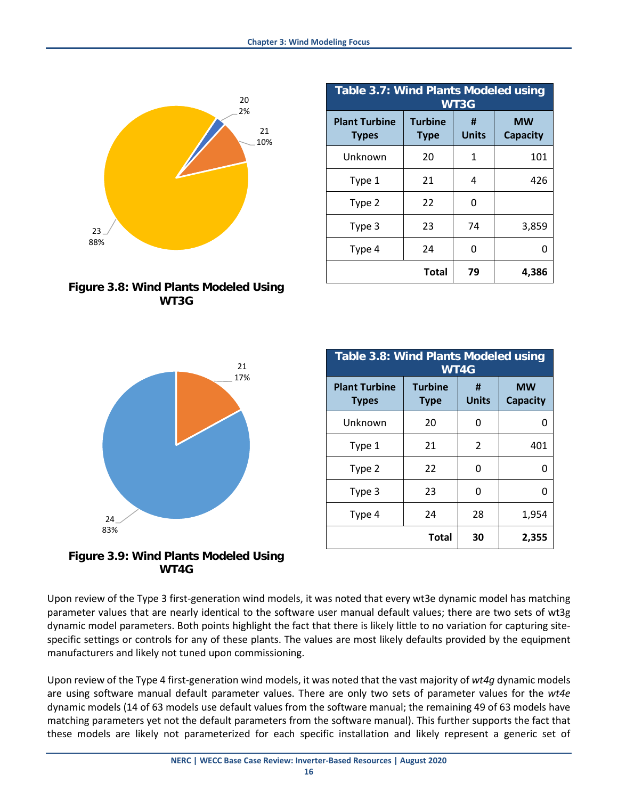

**Figure 3.8: Wind Plants Modeled Using WT3G**

| <b>Table 3.7: Wind Plants Modeled using</b><br>WT3G |                               |                   |                              |
|-----------------------------------------------------|-------------------------------|-------------------|------------------------------|
| <b>Plant Turbine</b><br><b>Types</b>                | <b>Turbine</b><br><b>Type</b> | Ħ<br><b>Units</b> | <b>MW</b><br><b>Capacity</b> |
| Unknown                                             | 20                            | 1                 | 101                          |
| Type 1                                              | 21                            | 4                 | 426                          |
| Type 2                                              | 22                            | O                 |                              |
| Type 3                                              | 23                            | 74                | 3,859                        |
| Type 4                                              | 24                            | 0                 | n                            |
|                                                     | <b>Total</b>                  | 79                | 4,386                        |

| <b>Table 3.8: Wind Plants Modeled using</b><br>WT4G |                               |                   |                              |
|-----------------------------------------------------|-------------------------------|-------------------|------------------------------|
| <b>Plant Turbine</b><br><b>Types</b>                | <b>Turbine</b><br><b>Type</b> | #<br><b>Units</b> | <b>MW</b><br><b>Capacity</b> |
| Unknown                                             | 20                            | 0                 | O                            |
| Type 1                                              | 21                            | 2                 | 401                          |
| Type 2                                              | 22                            | 0                 | O                            |
| Type 3                                              | 23                            | 0                 | O                            |
| Type 4                                              | 24                            | 28                | 1,954                        |
|                                                     | <b>Total</b>                  | 30                | 2,355                        |



**Figure 3.9: Wind Plants Modeled Using WT4G**

Upon review of the Type 3 first-generation wind models, it was noted that every wt3e dynamic model has matching parameter values that are nearly identical to the software user manual default values; there are two sets of wt3g dynamic model parameters. Both points highlight the fact that there is likely little to no variation for capturing sitespecific settings or controls for any of these plants. The values are most likely defaults provided by the equipment manufacturers and likely not tuned upon commissioning.

Upon review of the Type 4 first-generation wind models, it was noted that the vast majority of *wt4g* dynamic models are using software manual default parameter values. There are only two sets of parameter values for the *wt4e* dynamic models (14 of 63 models use default values from the software manual; the remaining 49 of 63 models have matching parameters yet not the default parameters from the software manual). This further supports the fact that these models are likely not parameterized for each specific installation and likely represent a generic set of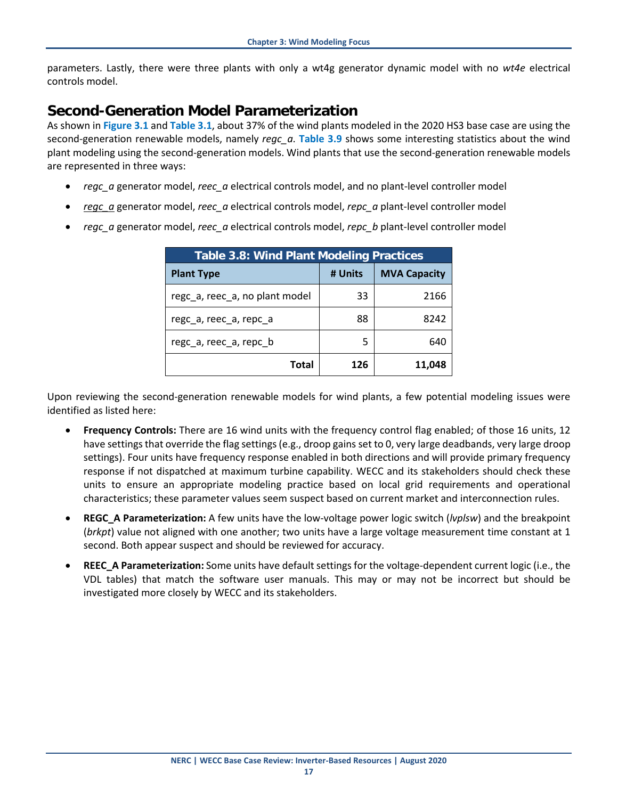parameters. Lastly, there were three plants with only a wt4g generator dynamic model with no *wt4e* electrical controls model.

#### <span id="page-22-0"></span>**Second-Generation Model Parameterization**

As shown in **Figure 3.1** and **Table 3.1**, about 37% of the wind plants modeled in the 2020 HS3 base case are using the second-generation renewable models, namely *regc\_a*. **Table 3.9** shows some interesting statistics about the wind plant modeling using the second-generation models. Wind plants that use the second-generation renewable models are represented in three ways:

- *regc\_a* generator model, *reec\_a* electrical controls model, and no plant-level controller model
- *regc\_a* generator model, *reec\_a* electrical controls model, *repc\_a* plant-level controller model
- *regc\_a* generator model, *reec\_a* electrical controls model, *repc\_b* plant-level controller model

| <b>Table 3.8: Wind Plant Modeling Practices</b> |         |                     |
|-------------------------------------------------|---------|---------------------|
| <b>Plant Type</b>                               | # Units | <b>MVA Capacity</b> |
| regc_a, reec_a, no plant model                  | 33      | 2166                |
| rego a, reeo a, repo a                          | 88      | 8242                |
| rego a, reeo a, repo b                          | 5       | 640                 |
| Total                                           | 126     | 11,048              |

Upon reviewing the second-generation renewable models for wind plants, a few potential modeling issues were identified as listed here:

- **Frequency Controls:** There are 16 wind units with the frequency control flag enabled; of those 16 units, 12 have settings that override the flag settings (e.g., droop gains set to 0, very large deadbands, very large droop settings). Four units have frequency response enabled in both directions and will provide primary frequency response if not dispatched at maximum turbine capability. WECC and its stakeholders should check these units to ensure an appropriate modeling practice based on local grid requirements and operational characteristics; these parameter values seem suspect based on current market and interconnection rules.
- **REGC\_A Parameterization:** A few units have the low-voltage power logic switch (*lvplsw*) and the breakpoint (*brkpt*) value not aligned with one another; two units have a large voltage measurement time constant at 1 second. Both appear suspect and should be reviewed for accuracy.
- **REEC\_A Parameterization:** Some units have default settings for the voltage-dependent current logic (i.e., the VDL tables) that match the software user manuals. This may or may not be incorrect but should be investigated more closely by WECC and its stakeholders.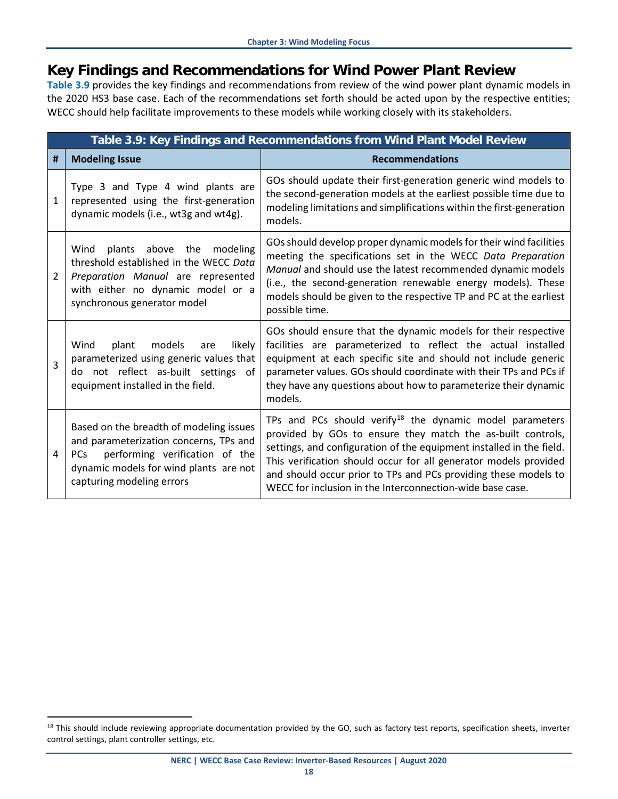#### <span id="page-23-0"></span>**Key Findings and Recommendations for Wind Power Plant Review**

**Table 3.9** provides the key findings and recommendations from review of the wind power plant dynamic models in the 2020 HS3 base case. Each of the recommendations set forth should be acted upon by the respective entities; WECC should help facilitate improvements to these models while working closely with its stakeholders.

|              | Table 3.9: Key Findings and Recommendations from Wind Plant Model Review                                                                                                                       |                                                                                                                                                                                                                                                                                                                                                                                                        |  |  |
|--------------|------------------------------------------------------------------------------------------------------------------------------------------------------------------------------------------------|--------------------------------------------------------------------------------------------------------------------------------------------------------------------------------------------------------------------------------------------------------------------------------------------------------------------------------------------------------------------------------------------------------|--|--|
| #            | <b>Modeling Issue</b>                                                                                                                                                                          | <b>Recommendations</b>                                                                                                                                                                                                                                                                                                                                                                                 |  |  |
| $\mathbf{1}$ | Type 3 and Type 4 wind plants are<br>represented using the first-generation<br>dynamic models (i.e., wt3g and wt4g).                                                                           | GOs should update their first-generation generic wind models to<br>the second-generation models at the earliest possible time due to<br>modeling limitations and simplifications within the first-generation<br>models.                                                                                                                                                                                |  |  |
| 2            | Wind plants above the modeling<br>threshold established in the WECC Data<br>Preparation Manual are represented<br>with either no dynamic model or a<br>synchronous generator model             | GOs should develop proper dynamic models for their wind facilities<br>meeting the specifications set in the WECC Data Preparation<br>Manual and should use the latest recommended dynamic models<br>(i.e., the second-generation renewable energy models). These<br>models should be given to the respective TP and PC at the earliest<br>possible time.                                               |  |  |
| $\mathbf{R}$ | Wind<br>plant<br>models<br>likely<br>are<br>parameterized using generic values that<br>do not reflect as-built settings of<br>equipment installed in the field.                                | GOs should ensure that the dynamic models for their respective<br>facilities are parameterized to reflect the actual installed<br>equipment at each specific site and should not include generic<br>parameter values. GOs should coordinate with their TPs and PCs if<br>they have any questions about how to parameterize their dynamic<br>models.                                                    |  |  |
| 4            | Based on the breadth of modeling issues<br>and parameterization concerns, TPs and<br>PCs performing verification of the<br>dynamic models for wind plants are not<br>capturing modeling errors | TPs and PCs should verify $18$ the dynamic model parameters<br>provided by GOs to ensure they match the as-built controls,<br>settings, and configuration of the equipment installed in the field.<br>This verification should occur for all generator models provided<br>and should occur prior to TPs and PCs providing these models to<br>WECC for inclusion in the Interconnection-wide base case. |  |  |

<span id="page-23-1"></span><sup>&</sup>lt;sup>18</sup> This should include reviewing appropriate documentation provided by the GO, such as factory test reports, specification sheets, inverter control settings, plant controller settings, etc.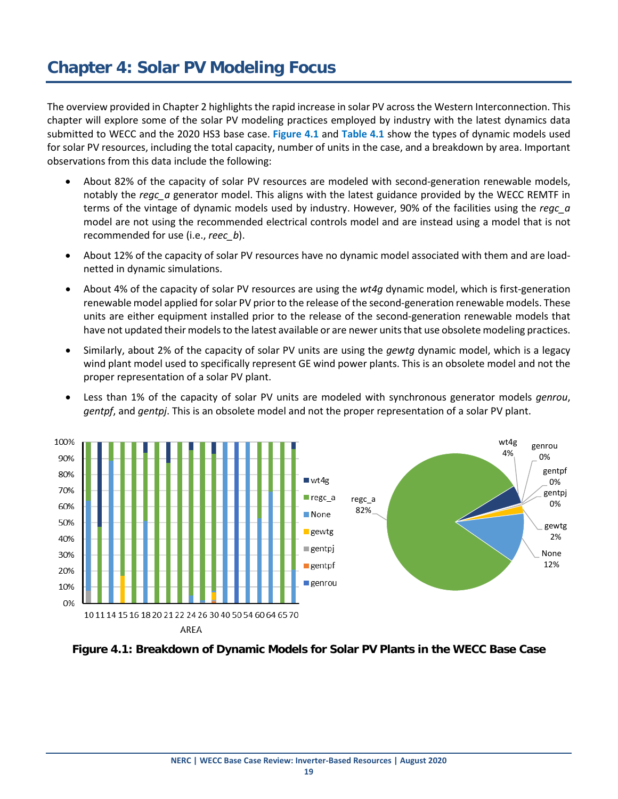<span id="page-24-0"></span>The overview provided in Chapter 2 highlights the rapid increase in solar PV across the Western Interconnection. This chapter will explore some of the solar PV modeling practices employed by industry with the latest dynamics data submitted to WECC and the 2020 HS3 base case. **Figure 4.1** and **Table 4.1** show the types of dynamic models used for solar PV resources, including the total capacity, number of units in the case, and a breakdown by area. Important observations from this data include the following:

- About 82% of the capacity of solar PV resources are modeled with second-generation renewable models, notably the *regc\_a* generator model. This aligns with the latest guidance provided by the WECC REMTF in terms of the vintage of dynamic models used by industry. However, 90% of the facilities using the *regc\_a* model are not using the recommended electrical controls model and are instead using a model that is not recommended for use (i.e., *reec\_b*).
- About 12% of the capacity of solar PV resources have no dynamic model associated with them and are loadnetted in dynamic simulations.
- About 4% of the capacity of solar PV resources are using the *wt4g* dynamic model, which is first-generation renewable model applied for solar PV prior to the release of the second-generation renewable models. These units are either equipment installed prior to the release of the second-generation renewable models that have not updated their models to the latest available or are newer units that use obsolete modeling practices.
- Similarly, about 2% of the capacity of solar PV units are using the *gewtg* dynamic model, which is a legacy wind plant model used to specifically represent GE wind power plants. This is an obsolete model and not the proper representation of a solar PV plant.
- Less than 1% of the capacity of solar PV units are modeled with synchronous generator models *genrou*, *gentpf*, and *gentpj*. This is an obsolete model and not the proper representation of a solar PV plant.



**Figure 4.1: Breakdown of Dynamic Models for Solar PV Plants in the WECC Base Case**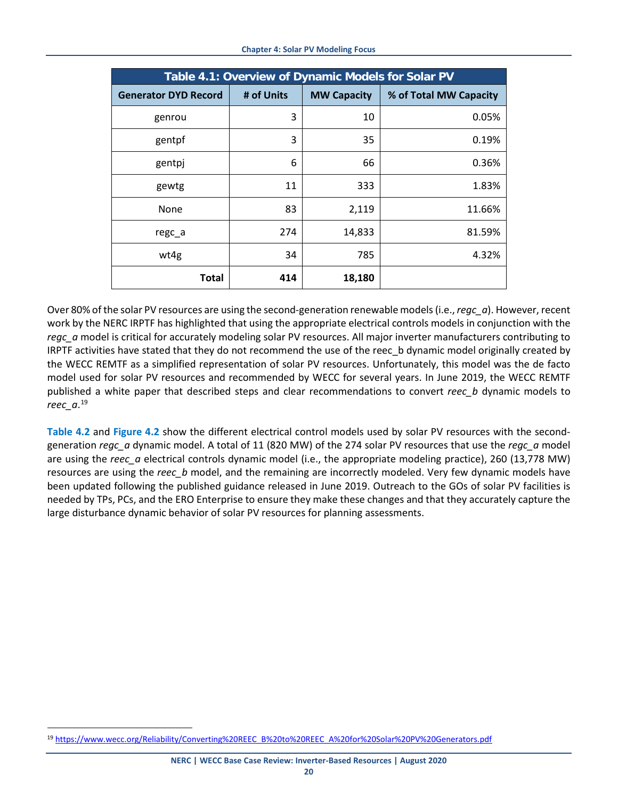| Table 4.1: Overview of Dynamic Models for Solar PV |            |                    |                        |
|----------------------------------------------------|------------|--------------------|------------------------|
| <b>Generator DYD Record</b>                        | # of Units | <b>MW Capacity</b> | % of Total MW Capacity |
| genrou                                             | 3          | 10                 | 0.05%                  |
| gentpf                                             | 3          | 35                 | 0.19%                  |
| gentpj                                             | 6          | 66                 | 0.36%                  |
| gewtg                                              | 11         | 333                | 1.83%                  |
| None                                               | 83         | 2,119              | 11.66%                 |
| regc a                                             | 274        | 14,833             | 81.59%                 |
| wt4g                                               | 34         | 785                | 4.32%                  |
| Total                                              | 414        | 18,180             |                        |

Over 80% of the solar PV resources are using the second-generation renewable models (i.e., *regc\_a*). However, recent work by the NERC IRPTF has highlighted that using the appropriate electrical controls models in conjunction with the *regc\_a* model is critical for accurately modeling solar PV resources. All major inverter manufacturers contributing to IRPTF activities have stated that they do not recommend the use of the reec b dynamic model originally created by the WECC REMTF as a simplified representation of solar PV resources. Unfortunately, this model was the de facto model used for solar PV resources and recommended by WECC for several years. In June 2019, the WECC REMTF published a white paper that described steps and clear recommendations to convert *reec\_b* dynamic models to *reec\_a*. [19](#page-25-0)

**Table 4.2** and **Figure 4.2** show the different electrical control models used by solar PV resources with the secondgeneration *regc\_a* dynamic model. A total of 11 (820 MW) of the 274 solar PV resources that use the *regc\_a* model are using the *reec\_a* electrical controls dynamic model (i.e., the appropriate modeling practice), 260 (13,778 MW) resources are using the *reec* b model, and the remaining are incorrectly modeled. Very few dynamic models have been updated following the published guidance released in June 2019. Outreach to the GOs of solar PV facilities is needed by TPs, PCs, and the ERO Enterprise to ensure they make these changes and that they accurately capture the large disturbance dynamic behavior of solar PV resources for planning assessments.

<span id="page-25-0"></span> <sup>19</sup> [https://www.wecc.org/Reliability/Converting%20REEC\\_B%20to%20REEC\\_A%20for%20Solar%20PV%20Generators.pdf](https://www.wecc.org/Reliability/Converting%20REEC_B%20to%20REEC_A%20for%20Solar%20PV%20Generators.pdf)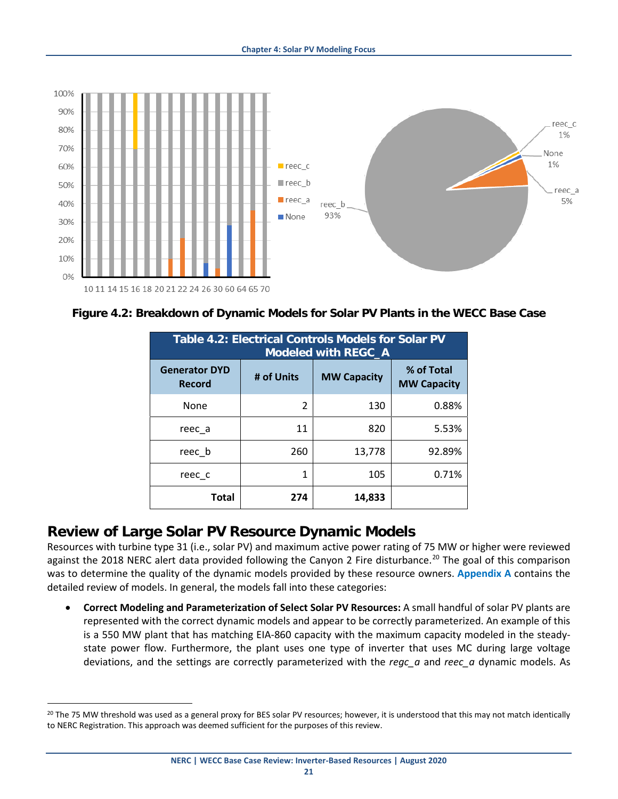

**Figure 4.2: Breakdown of Dynamic Models for Solar PV Plants in the WECC Base Case**

| <b>Table 4.2: Electrical Controls Models for Solar PV</b><br><b>Modeled with REGC_A</b> |            |                    |                                  |
|-----------------------------------------------------------------------------------------|------------|--------------------|----------------------------------|
| <b>Generator DYD</b><br><b>Record</b>                                                   | # of Units | <b>MW Capacity</b> | % of Total<br><b>MW Capacity</b> |
| None                                                                                    | 2          | 130                | 0.88%                            |
| reec a                                                                                  | 11         | 820                | 5.53%                            |
| reec b                                                                                  | 260        | 13,778             | 92.89%                           |
| reec c                                                                                  | 1          | 105                | 0.71%                            |
| Total                                                                                   | 274        | 14,833             |                                  |

#### <span id="page-26-0"></span>**Review of Large Solar PV Resource Dynamic Models**

Resources with turbine type 31 (i.e., solar PV) and maximum active power rating of 75 MW or higher were reviewed against the [20](#page-26-1)18 NERC alert data provided following the Canyon 2 Fire disturbance.<sup>20</sup> The goal of this comparison was to determine the quality of the dynamic models provided by these resource owners. **[Appendix A](#page-34-0)** contains the detailed review of models. In general, the models fall into these categories:

• **Correct Modeling and Parameterization of Select Solar PV Resources:** A small handful of solar PV plants are represented with the correct dynamic models and appear to be correctly parameterized. An example of this is a 550 MW plant that has matching EIA-860 capacity with the maximum capacity modeled in the steadystate power flow. Furthermore, the plant uses one type of inverter that uses MC during large voltage deviations, and the settings are correctly parameterized with the *regc\_a* and *reec\_a* dynamic models. As

<span id="page-26-1"></span><sup>&</sup>lt;sup>20</sup> The 75 MW threshold was used as a general proxy for BES solar PV resources; however, it is understood that this may not match identically to NERC Registration. This approach was deemed sufficient for the purposes of this review.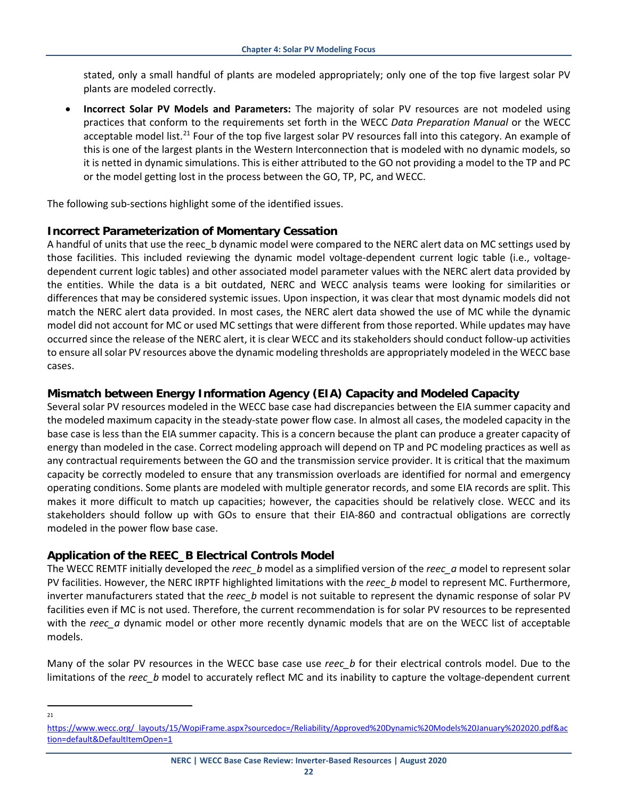stated, only a small handful of plants are modeled appropriately; only one of the top five largest solar PV plants are modeled correctly.

• **Incorrect Solar PV Models and Parameters:** The majority of solar PV resources are not modeled using practices that conform to the requirements set forth in the WECC *Data Preparation Manual* or the WECC acceptable model list.<sup>[21](#page-27-3)</sup> Four of the top five largest solar PV resources fall into this category. An example of this is one of the largest plants in the Western Interconnection that is modeled with no dynamic models, so it is netted in dynamic simulations. This is either attributed to the GO not providing a model to the TP and PC or the model getting lost in the process between the GO, TP, PC, and WECC.

The following sub-sections highlight some of the identified issues.

#### <span id="page-27-0"></span>**Incorrect Parameterization of Momentary Cessation**

A handful of units that use the reec b dynamic model were compared to the NERC alert data on MC settings used by those facilities. This included reviewing the dynamic model voltage-dependent current logic table (i.e., voltagedependent current logic tables) and other associated model parameter values with the NERC alert data provided by the entities. While the data is a bit outdated, NERC and WECC analysis teams were looking for similarities or differences that may be considered systemic issues. Upon inspection, it was clear that most dynamic models did not match the NERC alert data provided. In most cases, the NERC alert data showed the use of MC while the dynamic model did not account for MC or used MC settings that were different from those reported. While updates may have occurred since the release of the NERC alert, it is clear WECC and its stakeholders should conduct follow-up activities to ensure all solar PV resources above the dynamic modeling thresholds are appropriately modeled in the WECC base cases.

#### <span id="page-27-1"></span>**Mismatch between Energy Information Agency (EIA) Capacity and Modeled Capacity**

Several solar PV resources modeled in the WECC base case had discrepancies between the EIA summer capacity and the modeled maximum capacity in the steady-state power flow case. In almost all cases, the modeled capacity in the base case is less than the EIA summer capacity. This is a concern because the plant can produce a greater capacity of energy than modeled in the case. Correct modeling approach will depend on TP and PC modeling practices as well as any contractual requirements between the GO and the transmission service provider. It is critical that the maximum capacity be correctly modeled to ensure that any transmission overloads are identified for normal and emergency operating conditions. Some plants are modeled with multiple generator records, and some EIA records are split. This makes it more difficult to match up capacities; however, the capacities should be relatively close. WECC and its stakeholders should follow up with GOs to ensure that their EIA-860 and contractual obligations are correctly modeled in the power flow base case.

#### <span id="page-27-2"></span>**Application of the REEC\_B Electrical Controls Model**

The WECC REMTF initially developed the *reec\_b* model as a simplified version of the *reec\_a* model to represent solar PV facilities. However, the NERC IRPTF highlighted limitations with the *reec\_b* model to represent MC. Furthermore, inverter manufacturers stated that the *reec\_b* model is not suitable to represent the dynamic response of solar PV facilities even if MC is not used. Therefore, the current recommendation is for solar PV resources to be represented with the *reec* a dynamic model or other more recently dynamic models that are on the WECC list of acceptable models.

Many of the solar PV resources in the WECC base case use *reec\_b* for their electrical controls model. Due to the limitations of the *reec\_b* model to accurately reflect MC and its inability to capture the voltage-dependent current

 $21$ 

<span id="page-27-3"></span>[https://www.wecc.org/\\_layouts/15/WopiFrame.aspx?sourcedoc=/Reliability/Approved%20Dynamic%20Models%20January%202020.pdf&ac](https://www.wecc.org/_layouts/15/WopiFrame.aspx?sourcedoc=/Reliability/Approved%20Dynamic%20Models%20January%202020.pdf&action=default&DefaultItemOpen=1) [tion=default&DefaultItemOpen=1](https://www.wecc.org/_layouts/15/WopiFrame.aspx?sourcedoc=/Reliability/Approved%20Dynamic%20Models%20January%202020.pdf&action=default&DefaultItemOpen=1)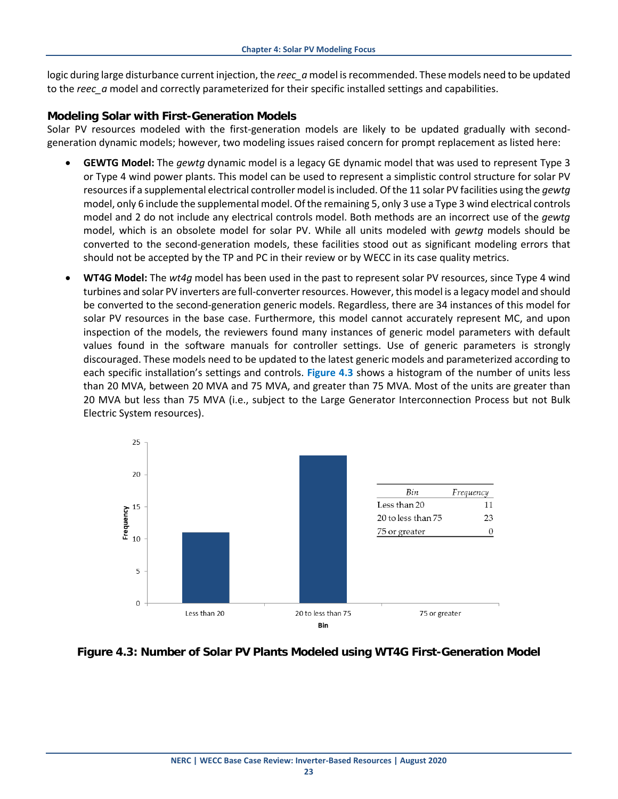logic during large disturbance current injection, the *reec\_a* model is recommended. These models need to be updated to the *reec\_a* model and correctly parameterized for their specific installed settings and capabilities.

#### <span id="page-28-0"></span>**Modeling Solar with First-Generation Models**

Solar PV resources modeled with the first-generation models are likely to be updated gradually with secondgeneration dynamic models; however, two modeling issues raised concern for prompt replacement as listed here:

- **GEWTG Model:** The *gewtg* dynamic model is a legacy GE dynamic model that was used to represent Type 3 or Type 4 wind power plants. This model can be used to represent a simplistic control structure for solar PV resources if a supplemental electrical controller model is included. Of the 11 solar PV facilities using the *gewtg* model, only 6 include the supplemental model. Of the remaining 5, only 3 use a Type 3 wind electrical controls model and 2 do not include any electrical controls model. Both methods are an incorrect use of the *gewtg* model, which is an obsolete model for solar PV. While all units modeled with *gewtg* models should be converted to the second-generation models, these facilities stood out as significant modeling errors that should not be accepted by the TP and PC in their review or by WECC in its case quality metrics.
- **WT4G Model:** The *wt4g* model has been used in the past to represent solar PV resources, since Type 4 wind turbines and solar PV inverters are full-converter resources. However, this model is a legacy model and should be converted to the second-generation generic models. Regardless, there are 34 instances of this model for solar PV resources in the base case. Furthermore, this model cannot accurately represent MC, and upon inspection of the models, the reviewers found many instances of generic model parameters with default values found in the software manuals for controller settings. Use of generic parameters is strongly discouraged. These models need to be updated to the latest generic models and parameterized according to each specific installation's settings and controls. **Figure 4.3** shows a histogram of the number of units less than 20 MVA, between 20 MVA and 75 MVA, and greater than 75 MVA. Most of the units are greater than 20 MVA but less than 75 MVA (i.e., subject to the Large Generator Interconnection Process but not Bulk Electric System resources).



#### **Figure 4.3: Number of Solar PV Plants Modeled using WT4G First-Generation Model**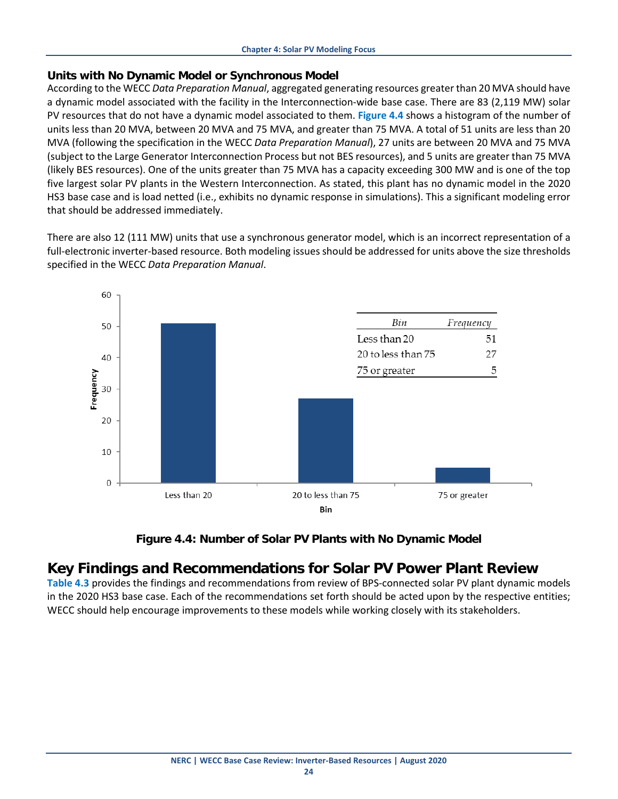#### <span id="page-29-0"></span>**Units with No Dynamic Model or Synchronous Model**

According to the WECC *Data Preparation Manual*, aggregated generating resources greater than 20 MVA should have a dynamic model associated with the facility in the Interconnection-wide base case. There are 83 (2,119 MW) solar PV resources that do not have a dynamic model associated to them. **Figure 4.4** shows a histogram of the number of units less than 20 MVA, between 20 MVA and 75 MVA, and greater than 75 MVA. A total of 51 units are less than 20 MVA (following the specification in the WECC *Data Preparation Manual*), 27 units are between 20 MVA and 75 MVA (subject to the Large Generator Interconnection Process but not BES resources), and 5 units are greater than 75 MVA (likely BES resources). One of the units greater than 75 MVA has a capacity exceeding 300 MW and is one of the top five largest solar PV plants in the Western Interconnection. As stated, this plant has no dynamic model in the 2020 HS3 base case and is load netted (i.e., exhibits no dynamic response in simulations). This a significant modeling error that should be addressed immediately.

There are also 12 (111 MW) units that use a synchronous generator model, which is an incorrect representation of a full-electronic inverter-based resource. Both modeling issues should be addressed for units above the size thresholds specified in the WECC *Data Preparation Manual*.



**Figure 4.4: Number of Solar PV Plants with No Dynamic Model**

#### <span id="page-29-1"></span>**Key Findings and Recommendations for Solar PV Power Plant Review**

**Table 4.3** provides the findings and recommendations from review of BPS-connected solar PV plant dynamic models in the 2020 HS3 base case. Each of the recommendations set forth should be acted upon by the respective entities; WECC should help encourage improvements to these models while working closely with its stakeholders.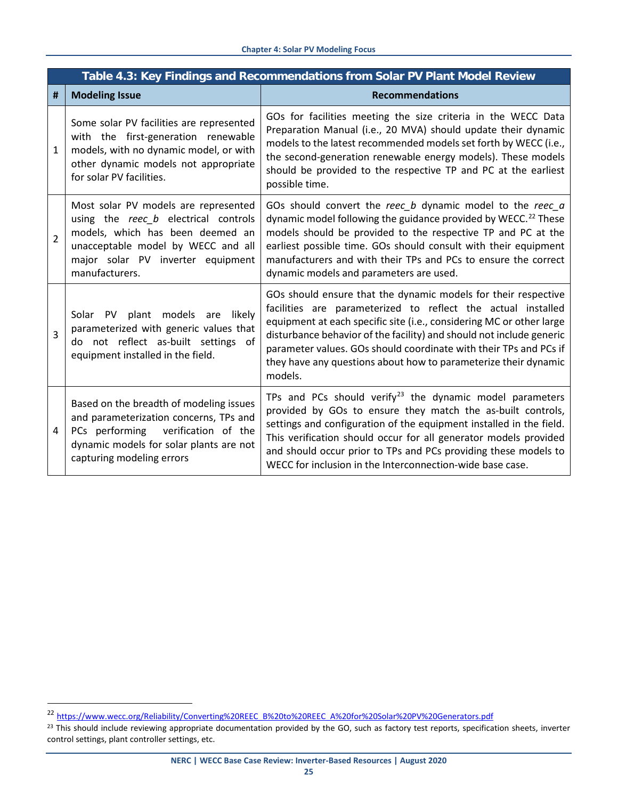|                          | Table 4.3: Key Findings and Recommendations from Solar PV Plant Model Review                                                                                                                                  |                                                                                                                                                                                                                                                                                                                                                                                                                                   |  |  |
|--------------------------|---------------------------------------------------------------------------------------------------------------------------------------------------------------------------------------------------------------|-----------------------------------------------------------------------------------------------------------------------------------------------------------------------------------------------------------------------------------------------------------------------------------------------------------------------------------------------------------------------------------------------------------------------------------|--|--|
| #                        | <b>Modeling Issue</b>                                                                                                                                                                                         | <b>Recommendations</b>                                                                                                                                                                                                                                                                                                                                                                                                            |  |  |
| 1                        | Some solar PV facilities are represented<br>with the first-generation renewable<br>models, with no dynamic model, or with<br>other dynamic models not appropriate<br>for solar PV facilities.                 | GOs for facilities meeting the size criteria in the WECC Data<br>Preparation Manual (i.e., 20 MVA) should update their dynamic<br>models to the latest recommended models set forth by WECC (i.e.,<br>the second-generation renewable energy models). These models<br>should be provided to the respective TP and PC at the earliest<br>possible time.                                                                            |  |  |
| $\overline{\mathcal{L}}$ | Most solar PV models are represented<br>using the reec b electrical controls<br>models, which has been deemed an<br>unacceptable model by WECC and all<br>major solar PV inverter equipment<br>manufacturers. | GOs should convert the reec_b dynamic model to the reec a<br>dynamic model following the guidance provided by WECC. <sup>22</sup> These<br>models should be provided to the respective TP and PC at the<br>earliest possible time. GOs should consult with their equipment<br>manufacturers and with their TPs and PCs to ensure the correct<br>dynamic models and parameters are used.                                           |  |  |
| 3                        | plant models are<br>likely<br>Solar<br><b>PV</b><br>parameterized with generic values that<br>do not reflect as-built settings of<br>equipment installed in the field.                                        | GOs should ensure that the dynamic models for their respective<br>facilities are parameterized to reflect the actual installed<br>equipment at each specific site (i.e., considering MC or other large<br>disturbance behavior of the facility) and should not include generic<br>parameter values. GOs should coordinate with their TPs and PCs if<br>they have any questions about how to parameterize their dynamic<br>models. |  |  |
| 4                        | Based on the breadth of modeling issues<br>and parameterization concerns, TPs and<br>verification of the<br>PCs performing<br>dynamic models for solar plants are not<br>capturing modeling errors            | TPs and PCs should verify $23$ the dynamic model parameters<br>provided by GOs to ensure they match the as-built controls,<br>settings and configuration of the equipment installed in the field.<br>This verification should occur for all generator models provided<br>and should occur prior to TPs and PCs providing these models to<br>WECC for inclusion in the Interconnection-wide base case.                             |  |  |

 <sup>22</sup> [https://www.wecc.org/Reliability/Converting%20REEC\\_B%20to%20REEC\\_A%20for%20Solar%20PV%20Generators.pdf](https://www.wecc.org/Reliability/Converting%20REEC_B%20to%20REEC_A%20for%20Solar%20PV%20Generators.pdf)

<span id="page-30-1"></span><span id="page-30-0"></span><sup>&</sup>lt;sup>23</sup> This should include reviewing appropriate documentation provided by the GO, such as factory test reports, specification sheets, inverter control settings, plant controller settings, etc.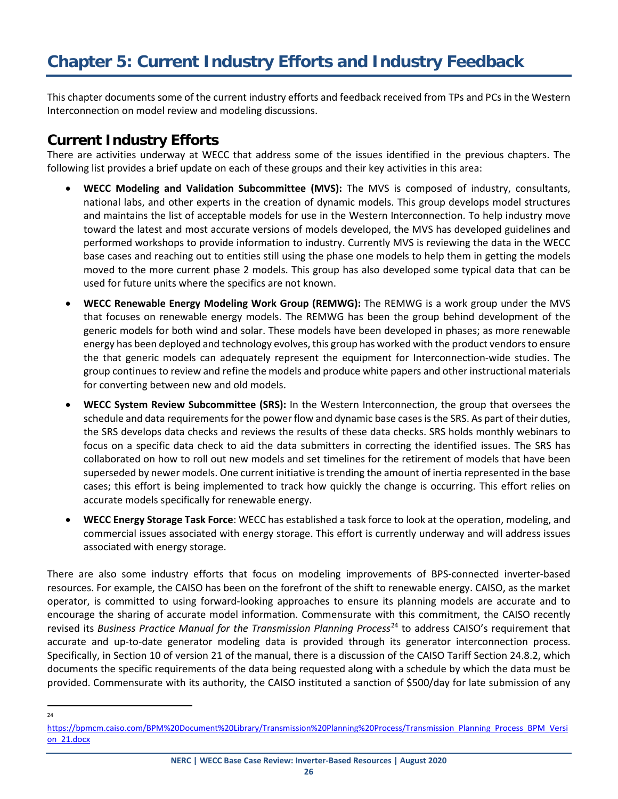<span id="page-31-0"></span>This chapter documents some of the current industry efforts and feedback received from TPs and PCs in the Western Interconnection on model review and modeling discussions.

#### <span id="page-31-1"></span>**Current Industry Efforts**

There are activities underway at WECC that address some of the issues identified in the previous chapters. The following list provides a brief update on each of these groups and their key activities in this area:

- **WECC Modeling and Validation Subcommittee (MVS):** The MVS is composed of industry, consultants, national labs, and other experts in the creation of dynamic models. This group develops model structures and maintains the list of acceptable models for use in the Western Interconnection. To help industry move toward the latest and most accurate versions of models developed, the MVS has developed guidelines and performed workshops to provide information to industry. Currently MVS is reviewing the data in the WECC base cases and reaching out to entities still using the phase one models to help them in getting the models moved to the more current phase 2 models. This group has also developed some typical data that can be used for future units where the specifics are not known.
- **WECC Renewable Energy Modeling Work Group (REMWG):** The REMWG is a work group under the MVS that focuses on renewable energy models. The REMWG has been the group behind development of the generic models for both wind and solar. These models have been developed in phases; as more renewable energy has been deployed and technology evolves, this group has worked with the product vendors to ensure the that generic models can adequately represent the equipment for Interconnection-wide studies. The group continues to review and refine the models and produce white papers and other instructional materials for converting between new and old models.
- **WECC System Review Subcommittee (SRS):** In the Western Interconnection, the group that oversees the schedule and data requirements for the power flow and dynamic base cases is the SRS. As part of their duties, the SRS develops data checks and reviews the results of these data checks. SRS holds monthly webinars to focus on a specific data check to aid the data submitters in correcting the identified issues. The SRS has collaborated on how to roll out new models and set timelines for the retirement of models that have been superseded by newer models. One current initiative is trending the amount of inertia represented in the base cases; this effort is being implemented to track how quickly the change is occurring. This effort relies on accurate models specifically for renewable energy.
- **WECC Energy Storage Task Force**: WECC has established a task force to look at the operation, modeling, and commercial issues associated with energy storage. This effort is currently underway and will address issues associated with energy storage.

There are also some industry efforts that focus on modeling improvements of BPS-connected inverter-based resources. For example, the CAISO has been on the forefront of the shift to renewable energy. CAISO, as the market operator, is committed to using forward-looking approaches to ensure its planning models are accurate and to encourage the sharing of accurate model information. Commensurate with this commitment, the CAISO recently revised its *Business Practice Manual for the Transmission Planning Process*[24](#page-31-2) to address CAISO's requirement that accurate and up-to-date generator modeling data is provided through its generator interconnection process. Specifically, in Section 10 of version 21 of the manual, there is a discussion of the CAISO Tariff Section 24.8.2, which documents the specific requirements of the data being requested along with a schedule by which the data must be provided. Commensurate with its authority, the CAISO instituted a sanction of \$500/day for late submission of any

 $24$ 

<span id="page-31-2"></span>[https://bpmcm.caiso.com/BPM%20Document%20Library/Transmission%20Planning%20Process/Transmission\\_Planning\\_Process\\_BPM\\_Versi](https://bpmcm.caiso.com/BPM%20Document%20Library/Transmission%20Planning%20Process/Transmission_Planning_Process_BPM_Version_21.docx) on 21.docx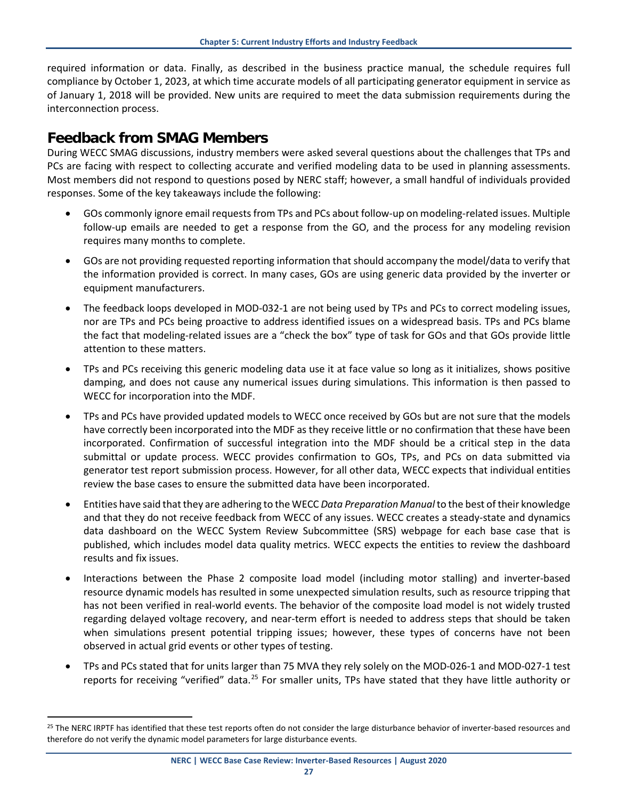required information or data. Finally, as described in the business practice manual, the schedule requires full compliance by October 1, 2023, at which time accurate models of all participating generator equipment in service as of January 1, 2018 will be provided. New units are required to meet the data submission requirements during the interconnection process.

#### <span id="page-32-0"></span>**Feedback from SMAG Members**

During WECC SMAG discussions, industry members were asked several questions about the challenges that TPs and PCs are facing with respect to collecting accurate and verified modeling data to be used in planning assessments. Most members did not respond to questions posed by NERC staff; however, a small handful of individuals provided responses. Some of the key takeaways include the following:

- GOs commonly ignore email requests from TPs and PCs about follow-up on modeling-related issues. Multiple follow-up emails are needed to get a response from the GO, and the process for any modeling revision requires many months to complete.
- GOs are not providing requested reporting information that should accompany the model/data to verify that the information provided is correct. In many cases, GOs are using generic data provided by the inverter or equipment manufacturers.
- The feedback loops developed in MOD-032-1 are not being used by TPs and PCs to correct modeling issues, nor are TPs and PCs being proactive to address identified issues on a widespread basis. TPs and PCs blame the fact that modeling-related issues are a "check the box" type of task for GOs and that GOs provide little attention to these matters.
- TPs and PCs receiving this generic modeling data use it at face value so long as it initializes, shows positive damping, and does not cause any numerical issues during simulations. This information is then passed to WECC for incorporation into the MDF.
- TPs and PCs have provided updated models to WECC once received by GOs but are not sure that the models have correctly been incorporated into the MDF as they receive little or no confirmation that these have been incorporated. Confirmation of successful integration into the MDF should be a critical step in the data submittal or update process. WECC provides confirmation to GOs, TPs, and PCs on data submitted via generator test report submission process. However, for all other data, WECC expects that individual entities review the base cases to ensure the submitted data have been incorporated.
- Entities have said that they are adhering to the WECC *Data Preparation Manual* to the best of their knowledge and that they do not receive feedback from WECC of any issues. WECC creates a steady-state and dynamics data dashboard on the WECC System Review Subcommittee (SRS) webpage for each base case that is published, which includes model data quality metrics. WECC expects the entities to review the dashboard results and fix issues.
- Interactions between the Phase 2 composite load model (including motor stalling) and inverter-based resource dynamic models has resulted in some unexpected simulation results, such as resource tripping that has not been verified in real-world events. The behavior of the composite load model is not widely trusted regarding delayed voltage recovery, and near-term effort is needed to address steps that should be taken when simulations present potential tripping issues; however, these types of concerns have not been observed in actual grid events or other types of testing.
- TPs and PCs stated that for units larger than 75 MVA they rely solely on the MOD-026-1 and MOD-027-1 test reports for receiving "verified" data.[25](#page-32-1) For smaller units, TPs have stated that they have little authority or

<span id="page-32-1"></span><sup>&</sup>lt;sup>25</sup> The NERC IRPTF has identified that these test reports often do not consider the large disturbance behavior of inverter-based resources and therefore do not verify the dynamic model parameters for large disturbance events.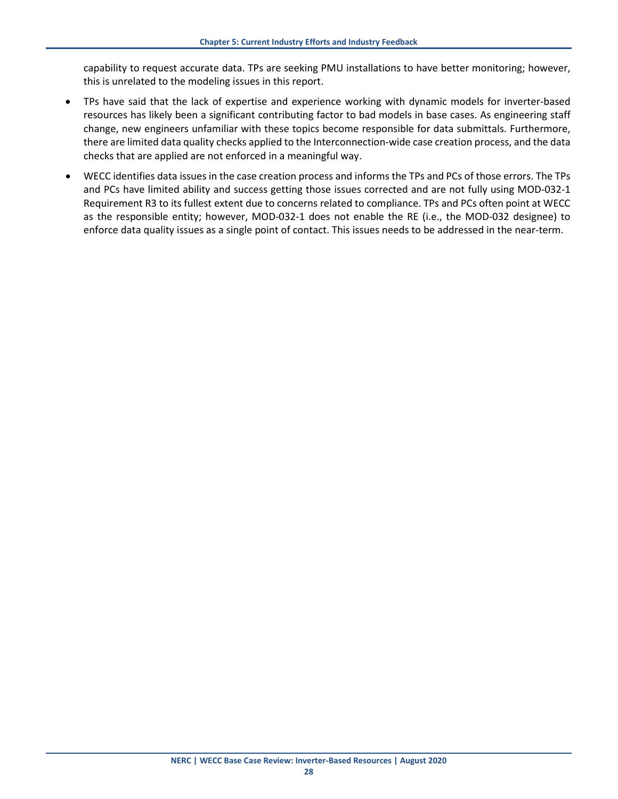capability to request accurate data. TPs are seeking PMU installations to have better monitoring; however, this is unrelated to the modeling issues in this report.

- TPs have said that the lack of expertise and experience working with dynamic models for inverter-based resources has likely been a significant contributing factor to bad models in base cases. As engineering staff change, new engineers unfamiliar with these topics become responsible for data submittals. Furthermore, there are limited data quality checks applied to the Interconnection-wide case creation process, and the data checks that are applied are not enforced in a meaningful way.
- WECC identifies data issues in the case creation process and informs the TPs and PCs of those errors. The TPs and PCs have limited ability and success getting those issues corrected and are not fully using MOD-032-1 Requirement R3 to its fullest extent due to concerns related to compliance. TPs and PCs often point at WECC as the responsible entity; however, MOD-032-1 does not enable the RE (i.e., the MOD-032 designee) to enforce data quality issues as a single point of contact. This issues needs to be addressed in the near-term.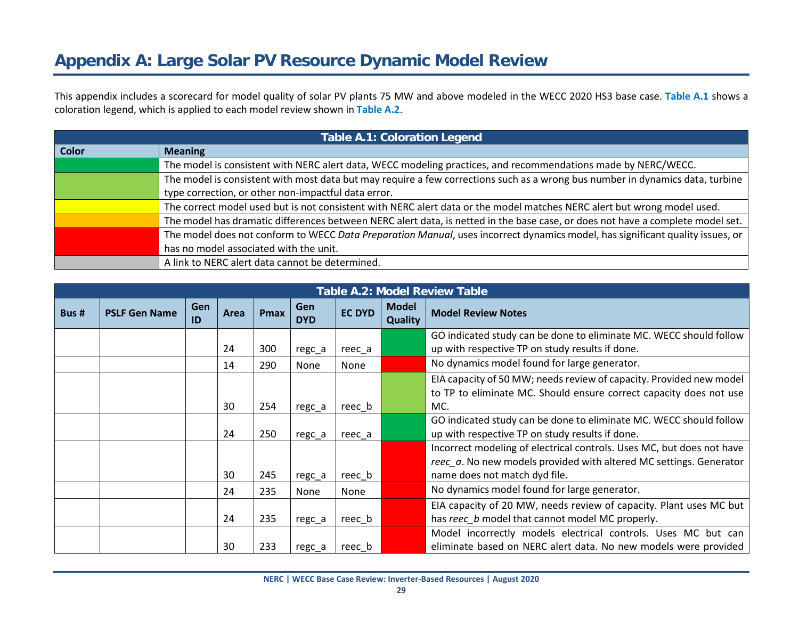# **Appendix A: Large Solar PV Resource Dynamic Model Review**

This appendix includes a scorecard for model quality of solar PV plants 75 MW and above modeled in the WECC 2020 HS3 base case. **Table A.1** shows a coloration legend, which is applied to each model review shown in **Table A.2**.

|                                                                                                                                | <b>Table A.1: Coloration Legend</b>                                                                                           |  |  |
|--------------------------------------------------------------------------------------------------------------------------------|-------------------------------------------------------------------------------------------------------------------------------|--|--|
| <b>Color</b>                                                                                                                   | <b>Meaning</b>                                                                                                                |  |  |
|                                                                                                                                | The model is consistent with NERC alert data, WECC modeling practices, and recommendations made by NERC/WECC.                 |  |  |
|                                                                                                                                | The model is consistent with most data but may require a few corrections such as a wrong bus number in dynamics data, turbine |  |  |
|                                                                                                                                | type correction, or other non-impactful data error.                                                                           |  |  |
|                                                                                                                                | The correct model used but is not consistent with NERC alert data or the model matches NERC alert but wrong model used.       |  |  |
| The model has dramatic differences between NERC alert data, is netted in the base case, or does not have a complete model set. |                                                                                                                               |  |  |
|                                                                                                                                | The model does not conform to WECC Data Preparation Manual, uses incorrect dynamics model, has significant quality issues, or |  |  |
|                                                                                                                                | has no model associated with the unit.                                                                                        |  |  |
|                                                                                                                                | A link to NERC alert data cannot be determined.                                                                               |  |  |

<span id="page-34-0"></span>

|       | <b>Table A.2: Model Review Table</b> |                  |      |             |                   |               |                         |                                                                       |  |
|-------|--------------------------------------|------------------|------|-------------|-------------------|---------------|-------------------------|-----------------------------------------------------------------------|--|
| Bus # | <b>PSLF Gen Name</b>                 | <b>Gen</b><br>ID | Area | <b>Pmax</b> | Gen<br><b>DYD</b> | <b>EC DYD</b> | <b>Model</b><br>Quality | <b>Model Review Notes</b>                                             |  |
|       |                                      |                  |      |             |                   |               |                         | GO indicated study can be done to eliminate MC. WECC should follow    |  |
|       |                                      |                  | 24   | 300         | regc_a            | reec a        |                         | up with respective TP on study results if done.                       |  |
|       |                                      |                  | 14   | 290         | None              | None          |                         | No dynamics model found for large generator.                          |  |
|       |                                      |                  |      |             |                   |               |                         | EIA capacity of 50 MW; needs review of capacity. Provided new model   |  |
|       |                                      |                  |      |             |                   |               |                         | to TP to eliminate MC. Should ensure correct capacity does not use    |  |
|       |                                      |                  | 30   | 254         | regc_a            | reec b        |                         | MC.                                                                   |  |
|       |                                      |                  |      |             |                   |               |                         | GO indicated study can be done to eliminate MC. WECC should follow    |  |
|       |                                      |                  | 24   | 250         | regc_a            | reec_a        |                         | up with respective TP on study results if done.                       |  |
|       |                                      |                  |      |             |                   |               |                         | Incorrect modeling of electrical controls. Uses MC, but does not have |  |
|       |                                      |                  |      |             |                   |               |                         | reec_a. No new models provided with altered MC settings. Generator    |  |
|       |                                      |                  | 30   | 245         | regc_a            | reec_b        |                         | name does not match dyd file.                                         |  |
|       |                                      |                  | 24   | 235         | None              | None          |                         | No dynamics model found for large generator.                          |  |
|       |                                      |                  |      |             |                   |               |                         | EIA capacity of 20 MW, needs review of capacity. Plant uses MC but    |  |
|       |                                      |                  | 24   | 235         | regc_a            | reec b        |                         | has reec b model that cannot model MC properly.                       |  |
|       |                                      |                  |      |             |                   |               |                         | Model incorrectly models electrical controls. Uses MC but can         |  |
|       |                                      |                  | 30   | 233         | regc_a            | reec_b        |                         | eliminate based on NERC alert data. No new models were provided       |  |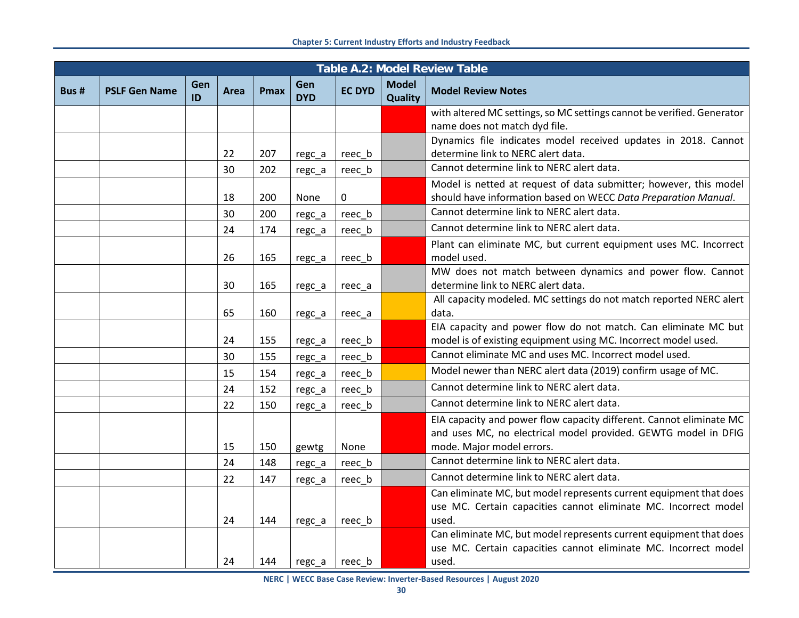|       | <b>Table A.2: Model Review Table</b> |           |      |             |                   |               |                                |                                                                                                                                       |  |
|-------|--------------------------------------|-----------|------|-------------|-------------------|---------------|--------------------------------|---------------------------------------------------------------------------------------------------------------------------------------|--|
| Bus # | <b>PSLF Gen Name</b>                 | Gen<br>ID | Area | <b>Pmax</b> | Gen<br><b>DYD</b> | <b>EC DYD</b> | <b>Model</b><br><b>Quality</b> | <b>Model Review Notes</b>                                                                                                             |  |
|       |                                      |           |      |             |                   |               |                                | with altered MC settings, so MC settings cannot be verified. Generator<br>name does not match dyd file.                               |  |
|       |                                      |           |      |             |                   |               |                                | Dynamics file indicates model received updates in 2018. Cannot                                                                        |  |
|       |                                      |           | 22   | 207         | regc_a            | reec_b        |                                | determine link to NERC alert data.                                                                                                    |  |
|       |                                      |           | 30   | 202         | regc_a            | reec_b        |                                | Cannot determine link to NERC alert data.                                                                                             |  |
|       |                                      |           | 18   | 200         | None              | 0             |                                | Model is netted at request of data submitter; however, this model<br>should have information based on WECC Data Preparation Manual.   |  |
|       |                                      |           | 30   | 200         |                   | reec_b        |                                | Cannot determine link to NERC alert data.                                                                                             |  |
|       |                                      |           | 24   | 174         | regc_a            | reec b        |                                | Cannot determine link to NERC alert data.                                                                                             |  |
|       |                                      |           |      |             | regc_a            |               |                                | Plant can eliminate MC, but current equipment uses MC. Incorrect                                                                      |  |
|       |                                      |           | 26   | 165         | regc_a            | reec_b        |                                | model used.                                                                                                                           |  |
|       |                                      |           |      |             |                   |               |                                | MW does not match between dynamics and power flow. Cannot                                                                             |  |
|       |                                      |           | 30   | 165         | regc_a            | reec_a        |                                | determine link to NERC alert data.                                                                                                    |  |
|       |                                      |           | 65   | 160         | regc_a            | reec_a        |                                | All capacity modeled. MC settings do not match reported NERC alert<br>data.                                                           |  |
|       |                                      |           |      | 155         |                   |               |                                | EIA capacity and power flow do not match. Can eliminate MC but<br>model is of existing equipment using MC. Incorrect model used.      |  |
|       |                                      |           | 24   |             | regc_a            | reec_b        |                                | Cannot eliminate MC and uses MC. Incorrect model used.                                                                                |  |
|       |                                      |           | 30   | 155         | regc_a            | reec_b        |                                | Model newer than NERC alert data (2019) confirm usage of MC.                                                                          |  |
|       |                                      |           | 15   | 154         | regc_a            | reec_b        |                                | Cannot determine link to NERC alert data.                                                                                             |  |
|       |                                      |           | 24   | 152         | regc_a            | reec_b        |                                | Cannot determine link to NERC alert data.                                                                                             |  |
|       |                                      |           | 22   | 150         | regc_a            | reec_b        |                                |                                                                                                                                       |  |
|       |                                      |           |      |             |                   |               |                                | EIA capacity and power flow capacity different. Cannot eliminate MC<br>and uses MC, no electrical model provided. GEWTG model in DFIG |  |
|       |                                      |           | 15   | 150         | gewtg             | None          |                                | mode. Major model errors.                                                                                                             |  |
|       |                                      |           | 24   | 148         | regc_a            | reec_b        |                                | Cannot determine link to NERC alert data.                                                                                             |  |
|       |                                      |           | 22   | 147         | regc_a            | reec b        |                                | Cannot determine link to NERC alert data.                                                                                             |  |
|       |                                      |           |      |             |                   |               |                                | Can eliminate MC, but model represents current equipment that does                                                                    |  |
|       |                                      |           |      |             |                   |               |                                | use MC. Certain capacities cannot eliminate MC. Incorrect model                                                                       |  |
|       |                                      |           | 24   | 144         | regc_a            | reec b        |                                | used.                                                                                                                                 |  |
|       |                                      |           |      |             |                   |               |                                | Can eliminate MC, but model represents current equipment that does                                                                    |  |
|       |                                      |           |      |             |                   |               |                                | use MC. Certain capacities cannot eliminate MC. Incorrect model                                                                       |  |
|       |                                      |           | 24   | 144         | regc_a            | reec b        |                                | used.                                                                                                                                 |  |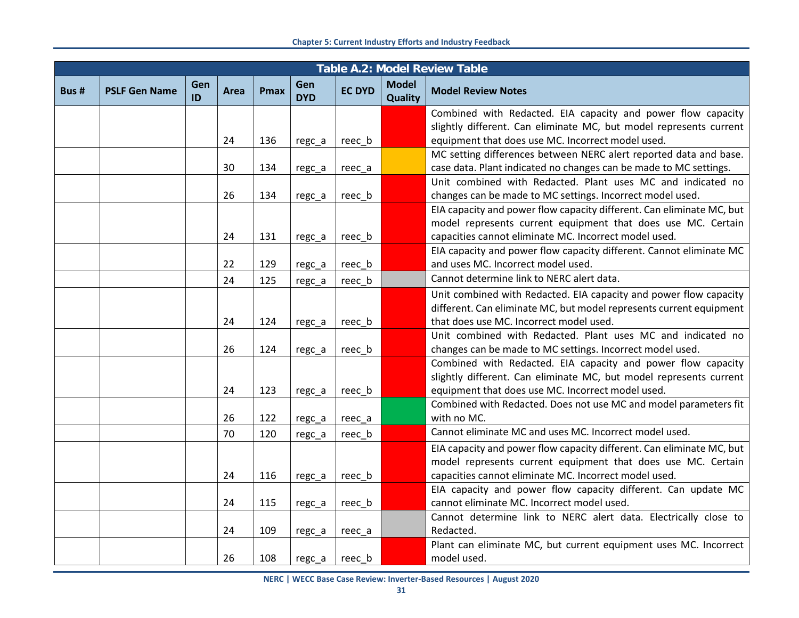|      | <b>Table A.2: Model Review Table</b> |           |      |             |                   |               |                                |                                                                                                                                    |  |
|------|--------------------------------------|-----------|------|-------------|-------------------|---------------|--------------------------------|------------------------------------------------------------------------------------------------------------------------------------|--|
| Bus# | <b>PSLF Gen Name</b>                 | Gen<br>ID | Area | <b>Pmax</b> | Gen<br><b>DYD</b> | <b>EC DYD</b> | <b>Model</b><br><b>Quality</b> | <b>Model Review Notes</b>                                                                                                          |  |
|      |                                      |           |      |             |                   |               |                                | Combined with Redacted. EIA capacity and power flow capacity                                                                       |  |
|      |                                      |           |      |             |                   |               |                                | slightly different. Can eliminate MC, but model represents current                                                                 |  |
|      |                                      |           | 24   | 136         | regc_a            | reec_b        |                                | equipment that does use MC. Incorrect model used.                                                                                  |  |
|      |                                      |           |      |             |                   |               |                                | MC setting differences between NERC alert reported data and base.                                                                  |  |
|      |                                      |           | 30   | 134         | regc_a            | reec_a        |                                | case data. Plant indicated no changes can be made to MC settings.                                                                  |  |
|      |                                      |           | 26   |             |                   |               |                                | Unit combined with Redacted. Plant uses MC and indicated no                                                                        |  |
|      |                                      |           |      | 134         | regc_a            | reec b        |                                | changes can be made to MC settings. Incorrect model used.<br>EIA capacity and power flow capacity different. Can eliminate MC, but |  |
|      |                                      |           |      |             |                   |               |                                | model represents current equipment that does use MC. Certain                                                                       |  |
|      |                                      |           | 24   | 131         | regc_a            | reec b        |                                | capacities cannot eliminate MC. Incorrect model used.                                                                              |  |
|      |                                      |           |      |             |                   |               |                                | EIA capacity and power flow capacity different. Cannot eliminate MC                                                                |  |
|      |                                      |           | 22   | 129         | regc_a            | reec b        |                                | and uses MC. Incorrect model used.                                                                                                 |  |
|      |                                      |           | 24   | 125         | regc_a            | reec_b        |                                | Cannot determine link to NERC alert data.                                                                                          |  |
|      |                                      |           |      |             |                   |               |                                | Unit combined with Redacted. EIA capacity and power flow capacity                                                                  |  |
|      |                                      |           |      |             |                   |               |                                | different. Can eliminate MC, but model represents current equipment                                                                |  |
|      |                                      |           | 24   | 124         | regc_a            | reec_b        |                                | that does use MC. Incorrect model used.                                                                                            |  |
|      |                                      |           |      |             |                   |               |                                | Unit combined with Redacted. Plant uses MC and indicated no                                                                        |  |
|      |                                      |           | 26   | 124         | regc_a            | reec_b        |                                | changes can be made to MC settings. Incorrect model used.                                                                          |  |
|      |                                      |           |      |             |                   |               |                                | Combined with Redacted. EIA capacity and power flow capacity                                                                       |  |
|      |                                      |           |      |             |                   |               |                                | slightly different. Can eliminate MC, but model represents current                                                                 |  |
|      |                                      |           | 24   | 123         | regc_a            | reec b        |                                | equipment that does use MC. Incorrect model used.                                                                                  |  |
|      |                                      |           |      |             |                   |               |                                | Combined with Redacted. Does not use MC and model parameters fit                                                                   |  |
|      |                                      |           | 26   | 122         | regc_a            | reec_a        |                                | with no MC.                                                                                                                        |  |
|      |                                      |           | 70   | 120         | regc_a            | reec_b        |                                | Cannot eliminate MC and uses MC. Incorrect model used.                                                                             |  |
|      |                                      |           |      |             |                   |               |                                | EIA capacity and power flow capacity different. Can eliminate MC, but                                                              |  |
|      |                                      |           |      |             |                   |               |                                | model represents current equipment that does use MC. Certain                                                                       |  |
|      |                                      |           | 24   | 116         | regc_a            | reec_b        |                                | capacities cannot eliminate MC. Incorrect model used.                                                                              |  |
|      |                                      |           |      |             |                   |               |                                | EIA capacity and power flow capacity different. Can update MC                                                                      |  |
|      |                                      |           | 24   | 115         | regc_a            | reec_b        |                                | cannot eliminate MC. Incorrect model used.                                                                                         |  |
|      |                                      |           |      |             |                   |               |                                | Cannot determine link to NERC alert data. Electrically close to                                                                    |  |
|      |                                      |           | 24   | 109         | regc_a            | reec a        |                                | Redacted.                                                                                                                          |  |
|      |                                      |           |      |             |                   |               |                                | Plant can eliminate MC, but current equipment uses MC. Incorrect                                                                   |  |
|      |                                      |           | 26   | 108         | regc_a            | reec_b        |                                | model used.                                                                                                                        |  |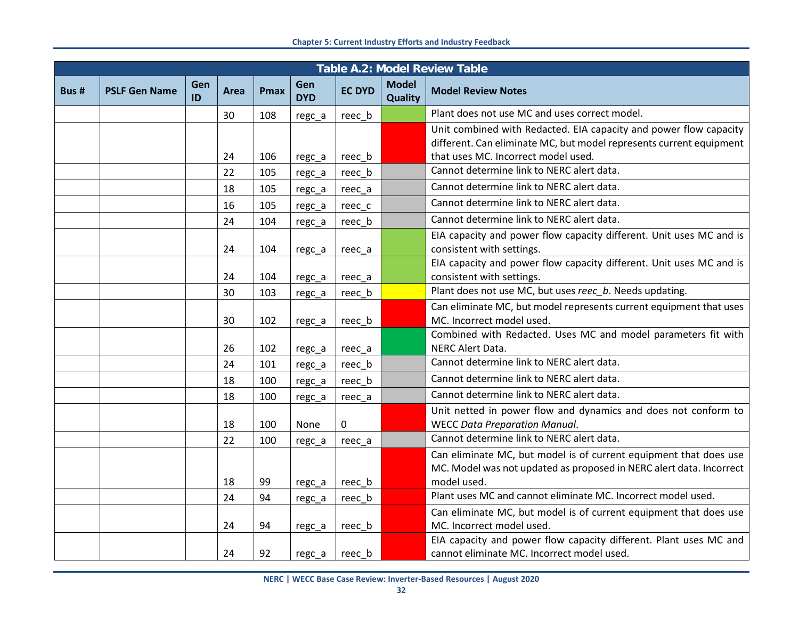|       | <b>Table A.2: Model Review Table</b> |           |      |             |                   |               |                                |                                                                     |  |
|-------|--------------------------------------|-----------|------|-------------|-------------------|---------------|--------------------------------|---------------------------------------------------------------------|--|
| Bus # | <b>PSLF Gen Name</b>                 | Gen<br>ID | Area | <b>Pmax</b> | Gen<br><b>DYD</b> | <b>EC DYD</b> | <b>Model</b><br><b>Quality</b> | <b>Model Review Notes</b>                                           |  |
|       |                                      |           | 30   | 108         | regc_a            | reec b        |                                | Plant does not use MC and uses correct model.                       |  |
|       |                                      |           |      |             |                   |               |                                | Unit combined with Redacted. EIA capacity and power flow capacity   |  |
|       |                                      |           |      |             |                   |               |                                | different. Can eliminate MC, but model represents current equipment |  |
|       |                                      |           | 24   | 106         | regc_a            | reec b        |                                | that uses MC. Incorrect model used.                                 |  |
|       |                                      |           | 22   | 105         | regc_a            | reec_b        |                                | Cannot determine link to NERC alert data.                           |  |
|       |                                      |           | 18   | 105         | regc_a            | reec_a        |                                | Cannot determine link to NERC alert data.                           |  |
|       |                                      |           | 16   | 105         | regc_a            | reec_c        |                                | Cannot determine link to NERC alert data.                           |  |
|       |                                      |           | 24   | 104         | regc_a            | reec_b        |                                | Cannot determine link to NERC alert data.                           |  |
|       |                                      |           |      |             |                   |               |                                | EIA capacity and power flow capacity different. Unit uses MC and is |  |
|       |                                      |           | 24   | 104         | regc_a            | reec a        |                                | consistent with settings.                                           |  |
|       |                                      |           |      |             |                   |               |                                | EIA capacity and power flow capacity different. Unit uses MC and is |  |
|       |                                      |           | 24   | 104         | regc_a            | reec_a        |                                | consistent with settings.                                           |  |
|       |                                      |           | 30   | 103         | regc_a            | reec_b        |                                | Plant does not use MC, but uses reec_b. Needs updating.             |  |
|       |                                      |           |      |             |                   |               |                                | Can eliminate MC, but model represents current equipment that uses  |  |
|       |                                      |           | 30   | 102         | regc_a            | reec b        |                                | MC. Incorrect model used.                                           |  |
|       |                                      |           |      |             |                   |               |                                | Combined with Redacted. Uses MC and model parameters fit with       |  |
|       |                                      |           | 26   | 102         | regc_a            | reec_a        |                                | NERC Alert Data.                                                    |  |
|       |                                      |           | 24   | 101         | regc_a            | reec_b        |                                | Cannot determine link to NERC alert data.                           |  |
|       |                                      |           | 18   | 100         | regc_a            | reec_b        |                                | Cannot determine link to NERC alert data.                           |  |
|       |                                      |           | 18   | 100         | regc_a            | reec_a        |                                | Cannot determine link to NERC alert data.                           |  |
|       |                                      |           |      |             |                   |               |                                | Unit netted in power flow and dynamics and does not conform to      |  |
|       |                                      |           | 18   | 100         | None              | 0             |                                | <b>WECC Data Preparation Manual.</b>                                |  |
|       |                                      |           | 22   | 100         | regc_a            | reec_a        |                                | Cannot determine link to NERC alert data.                           |  |
|       |                                      |           |      |             |                   |               |                                | Can eliminate MC, but model is of current equipment that does use   |  |
|       |                                      |           |      |             |                   |               |                                | MC. Model was not updated as proposed in NERC alert data. Incorrect |  |
|       |                                      |           | 18   | 99          | regc_a            | reec b        |                                | model used.                                                         |  |
|       |                                      |           | 24   | 94          | regc_a            | reec_b        |                                | Plant uses MC and cannot eliminate MC. Incorrect model used.        |  |
|       |                                      |           |      |             |                   |               |                                | Can eliminate MC, but model is of current equipment that does use   |  |
|       |                                      |           | 24   | 94          | regc_a            | reec b        |                                | MC. Incorrect model used.                                           |  |
|       |                                      |           |      |             |                   |               |                                | EIA capacity and power flow capacity different. Plant uses MC and   |  |
|       |                                      |           | 24   | 92          | regc_a            | reec b        |                                | cannot eliminate MC. Incorrect model used.                          |  |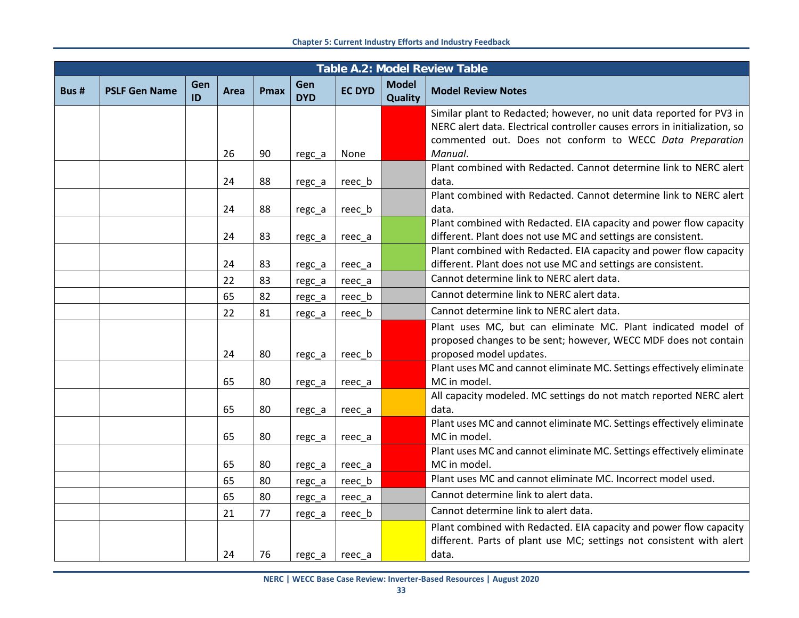|      | <b>Table A.2: Model Review Table</b> |           |      |             |                   |               |                                |                                                                                    |  |  |
|------|--------------------------------------|-----------|------|-------------|-------------------|---------------|--------------------------------|------------------------------------------------------------------------------------|--|--|
| Bus# | <b>PSLF Gen Name</b>                 | Gen<br>ID | Area | <b>Pmax</b> | Gen<br><b>DYD</b> | <b>EC DYD</b> | <b>Model</b><br><b>Quality</b> | <b>Model Review Notes</b>                                                          |  |  |
|      |                                      |           |      |             |                   |               |                                | Similar plant to Redacted; however, no unit data reported for PV3 in               |  |  |
|      |                                      |           |      |             |                   |               |                                | NERC alert data. Electrical controller causes errors in initialization, so         |  |  |
|      |                                      |           | 26   | 90          | regc_a            | None          |                                | commented out. Does not conform to WECC Data Preparation<br>Manual.                |  |  |
|      |                                      |           |      |             |                   |               |                                | Plant combined with Redacted. Cannot determine link to NERC alert                  |  |  |
|      |                                      |           | 24   | 88          | regc_a            | reec_b        |                                | data.                                                                              |  |  |
|      |                                      |           |      |             |                   |               |                                | Plant combined with Redacted. Cannot determine link to NERC alert                  |  |  |
|      |                                      |           | 24   | 88          | regc_a            | reec b        |                                | data.                                                                              |  |  |
|      |                                      |           |      |             |                   |               |                                | Plant combined with Redacted. EIA capacity and power flow capacity                 |  |  |
|      |                                      |           | 24   | 83          | regc_a            | reec_a        |                                | different. Plant does not use MC and settings are consistent.                      |  |  |
|      |                                      |           |      |             |                   |               |                                | Plant combined with Redacted. EIA capacity and power flow capacity                 |  |  |
|      |                                      |           | 24   | 83          | regc_a            | reec_a        |                                | different. Plant does not use MC and settings are consistent.                      |  |  |
|      |                                      |           | 22   | 83          | regc_a            | reec_a        |                                | Cannot determine link to NERC alert data.                                          |  |  |
|      |                                      |           | 65   | 82          | regc_a            | reec b        |                                | Cannot determine link to NERC alert data.                                          |  |  |
|      |                                      |           | 22   | 81          | regc_a            | reec_b        |                                | Cannot determine link to NERC alert data.                                          |  |  |
|      |                                      |           |      |             |                   |               |                                | Plant uses MC, but can eliminate MC. Plant indicated model of                      |  |  |
|      |                                      |           |      |             |                   |               |                                | proposed changes to be sent; however, WECC MDF does not contain                    |  |  |
|      |                                      |           | 24   | 80          | regc_a            | reec b        |                                | proposed model updates.                                                            |  |  |
|      |                                      |           |      |             |                   |               |                                | Plant uses MC and cannot eliminate MC. Settings effectively eliminate              |  |  |
|      |                                      |           | 65   | 80          | regc_a            | reec_a        |                                | MC in model.<br>All capacity modeled. MC settings do not match reported NERC alert |  |  |
|      |                                      |           | 65   | 80          | regc_a            | reec_a        |                                | data.                                                                              |  |  |
|      |                                      |           |      |             |                   |               |                                | Plant uses MC and cannot eliminate MC. Settings effectively eliminate              |  |  |
|      |                                      |           | 65   | 80          | regc_a            | reec_a        |                                | MC in model.                                                                       |  |  |
|      |                                      |           |      |             |                   |               |                                | Plant uses MC and cannot eliminate MC. Settings effectively eliminate              |  |  |
|      |                                      |           | 65   | 80          | regc_a            | reec_a        |                                | MC in model.                                                                       |  |  |
|      |                                      |           | 65   | 80          | regc_a            | reec_b        |                                | Plant uses MC and cannot eliminate MC. Incorrect model used.                       |  |  |
|      |                                      |           | 65   | 80          | regc_a            | reec_a        |                                | Cannot determine link to alert data.                                               |  |  |
|      |                                      |           | 21   | 77          | regc_a            | reec b        |                                | Cannot determine link to alert data.                                               |  |  |
|      |                                      |           |      |             |                   |               |                                | Plant combined with Redacted. EIA capacity and power flow capacity                 |  |  |
|      |                                      |           |      |             |                   |               |                                | different. Parts of plant use MC; settings not consistent with alert               |  |  |
|      |                                      |           | 24   | 76          | regc a            | reec a        |                                | data.                                                                              |  |  |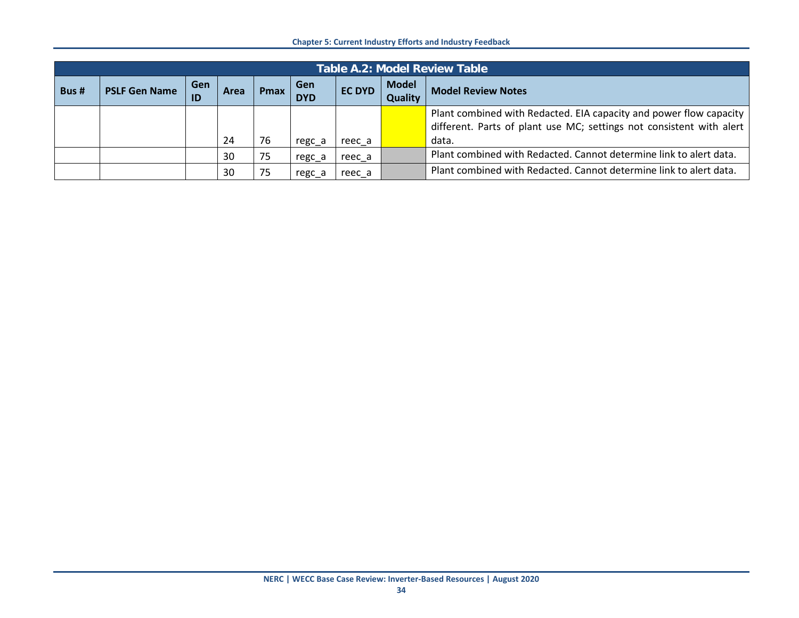|      | <b>Table A.2: Model Review Table</b> |                  |      |      |                   |               |                                |                                                                      |  |  |
|------|--------------------------------------|------------------|------|------|-------------------|---------------|--------------------------------|----------------------------------------------------------------------|--|--|
| Bus# | <b>PSLF Gen Name</b>                 | <b>Gen</b><br>ID | Area | Pmax | Gen<br><b>DYD</b> | <b>EC DYD</b> | <b>Model</b><br><b>Quality</b> | <b>Model Review Notes</b>                                            |  |  |
|      |                                      |                  |      |      |                   |               |                                | Plant combined with Redacted. EIA capacity and power flow capacity   |  |  |
|      |                                      |                  |      |      |                   |               |                                | different. Parts of plant use MC; settings not consistent with alert |  |  |
|      |                                      |                  | 24   | 76   | regc a            | reec a        |                                | data.                                                                |  |  |
|      |                                      |                  | 30   | 75   | regc a            | reec a        |                                | Plant combined with Redacted. Cannot determine link to alert data.   |  |  |
|      |                                      |                  | 30   | 75   | regc a            | reec a        |                                | Plant combined with Redacted. Cannot determine link to alert data.   |  |  |